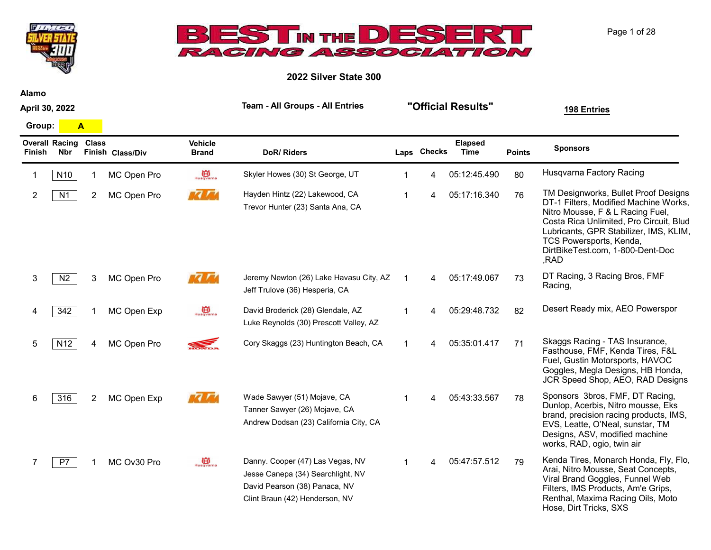



2022 Silver State 300

Alamo

April 30, 2022 Team - All Groups - All Entries **"Official Results"** 198 Entries Overall Racing Finish Nbr Class Finish Class/Div Sponsors Group: A Points Elapsed DoR/ Riders **Laps Checks** Time Vehicle Brand 1 N10 1 MC Open Pro  $\frac{10}{10}$  Skyler Howes (30) St George, UT 1 4 05:12:45.490 80 Husqvarna Factory Racing 2 N1 2 MC Open Pro MALA Hayden Hintz (22) Lakewood, CA 1 4 05:17:16.340 76 TM Designworks, Bullet Proof Designs DT-1 Filters, Modified Machine Works, Nitro Mousse, F & L Racing Fuel, Costa Rica Unlimited, Pro Circuit, Blud Lubricants, GPR Stabilizer, IMS, KLIM, TCS Powersports, Kenda, DirtBikeTest.com, 1-800-Dent-Doc ,RAD Hayden Hintz (22) Lakewood, CA Trevor Hunter (23) Santa Ana, CA MC Open Pro 3 NC Open Pro MAM Jeremy Newton (26) Lake Havasu City, AZ 1 4 05:17:49.067 73 DT Racing, 3 Racing Bros, FMF Racing, Jeff Trulove (36) Hesperia, CA MC Open Pro 342 1 MC Open Exp bavid Broderick (28) Glendale, AZ 1 4 05:29:48.732 82 Desert Ready mix, AEO Powerspor Luke Reynolds (30) Prescott Valley, AZ MC Open Exp 5 N12 4 MC Open Pro Cory Skaggs (23) Huntington Beach, CA 1 4 05:35:01.417 71 Skaggs Racing - TAS Insurance, Fasthouse, FMF, Kenda Tires, F&L Fuel, Gustin Motorsports, HAVOC Goggles, Megla Designs, HB Honda, JCR Speed Shop, AEO, RAD Designs 6 316 2 MC Open Exp 6 4 Made Sawyer (51) Mojave, CA 6 1 4 05:43:33.567 78 Sponsors 3bros, FMF, DT Racing, Dunlop, Acerbis, Nitro mousse, Eks brand, precision racing products, IMS, EVS, Leatte, O'Neal, sunstar, TM Designs, ASV, modified machine works, RAD, ogio, twin air Wade Sawyer (51) Mojave, CA Tanner Sawyer (26) Mojave, CA Andrew Dodsan (23) California City, CA MC Open Exp 7 P7 1 Kenda Tires, Monarch Honda, Fly, Flo, Arai, Nitro Mousse, Seat Concepts, Viral Brand Goggles, Funnel Web Filters, IMS Products, Am'e Grips, Danny. Cooper (47) Las Vegas, NV Jesse Canepa (34) Searchlight, NV David Pearson (38) Panaca, NV MC Ov30 Pro

Clint Braun (42) Henderson, NV

Page 1 of 28

Renthal, Maxima Racing Oils, Moto

Hose, Dirt Tricks, SXS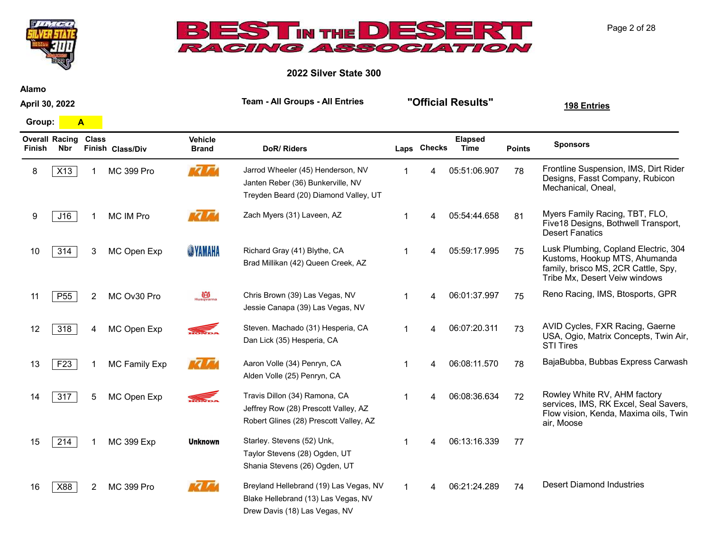



2022 Silver State 300

Alamo

April 30, 2022

Group: A

| <b>Finish</b> | <b>Overall Racing</b><br>Nbr | <b>Class</b>   | Finish Class/Div     | <b>Vehicle</b><br><b>Brand</b> | DoR/Riders                                                                                                      |   | Laps Checks | <b>Elapsed</b><br>Time | <b>Points</b> | <b>Sponsors</b>                                                                                                                               |
|---------------|------------------------------|----------------|----------------------|--------------------------------|-----------------------------------------------------------------------------------------------------------------|---|-------------|------------------------|---------------|-----------------------------------------------------------------------------------------------------------------------------------------------|
| 8             | X13                          |                | <b>MC 399 Pro</b>    | 77 M                           | Jarrod Wheeler (45) Henderson, NV<br>Janten Reber (36) Bunkerville, NV<br>Treyden Beard (20) Diamond Valley, UT | 1 | 4           | 05:51:06.907           | 78            | Frontline Suspension, IMS, Dirt Rider<br>Designs, Fasst Company, Rubicon<br>Mechanical, Oneal,                                                |
| 9             | J16                          |                | MC IM Pro            |                                | Zach Myers (31) Laveen, AZ                                                                                      |   |             | 05:54:44.658           | 81            | Myers Family Racing, TBT, FLO,<br>Five18 Designs, Bothwell Transport,<br><b>Desert Fanatics</b>                                               |
| 10            | 314                          | 3.             | MC Open Exp          | <b>SYAMAHA</b>                 | Richard Gray (41) Blythe, CA<br>Brad Millikan (42) Queen Creek, AZ                                              | 1 | 4           | 05:59:17.995           | 75            | Lusk Plumbing, Copland Electric, 304<br>Kustoms, Hookup MTS, Ahumanda<br>family, brisco MS, 2CR Cattle, Spy,<br>Tribe Mx, Desert Veiw windows |
| 11            | P <sub>55</sub>              | $\overline{2}$ | MC Ov30 Pro          | Husqvarna                      | Chris Brown (39) Las Vegas, NV<br>Jessie Canapa (39) Las Vegas, NV                                              | 1 | 4           | 06:01:37.997           | 75            | Reno Racing, IMS, Btosports, GPR                                                                                                              |
| 12            | 318                          | 4              | MC Open Exp          | <b>ROWLER</b>                  | Steven. Machado (31) Hesperia, CA<br>Dan Lick (35) Hesperia, CA                                                 | 1 | 4           | 06:07:20.311           | 73            | AVID Cycles, FXR Racing, Gaerne<br>USA, Ogio, Matrix Concepts, Twin Air,<br><b>STI Tires</b>                                                  |
| 13            | F <sub>23</sub>              |                | <b>MC Family Exp</b> | <b>77 A</b>                    | Aaron Volle (34) Penryn, CA<br>Alden Volle (25) Penryn, CA                                                      | 1 | 4           | 06:08:11.570           | 78            | BajaBubba, Bubbas Express Carwash                                                                                                             |
| 14            | 317                          | 5              | MC Open Exp          | <b>READER</b>                  | Travis Dillon (34) Ramona, CA<br>Jeffrey Row (28) Prescott Valley, AZ<br>Robert Glines (28) Prescott Valley, AZ | 1 |             | 06:08:36.634           | 72            | Rowley White RV, AHM factory<br>services, IMS, RK Excel, Seal Savers,<br>Flow vision, Kenda, Maxima oils, Twin<br>air, Moose                  |
| 15            | 214                          |                | <b>MC 399 Exp</b>    | <b>Unknown</b>                 | Starley. Stevens (52) Unk,<br>Taylor Stevens (28) Ogden, UT<br>Shania Stevens (26) Ogden, UT                    | 1 | 4           | 06:13:16.339           | 77            |                                                                                                                                               |
| 16            | X88                          | 2              | <b>MC 399 Pro</b>    | $\bm{7}$                       | Breyland Hellebrand (19) Las Vegas, NV<br>Blake Hellebrand (13) Las Vegas, NV<br>Drew Davis (18) Las Vegas, NV  |   |             | 06:21:24.289           | 74            | <b>Desert Diamond Industries</b>                                                                                                              |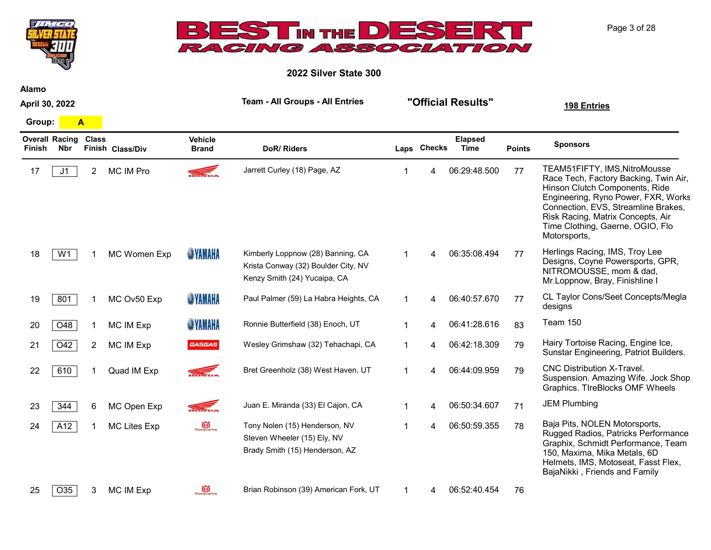

25  $\overline{O35}$  3 MC IM Exp  $\overline{B}_{\text{Higgsons}}$  Brian Robinson (39) American Fork, UT  $\overline{1}$  1 4 06:52:40.454 76



Page 3 of 28

**TANTE**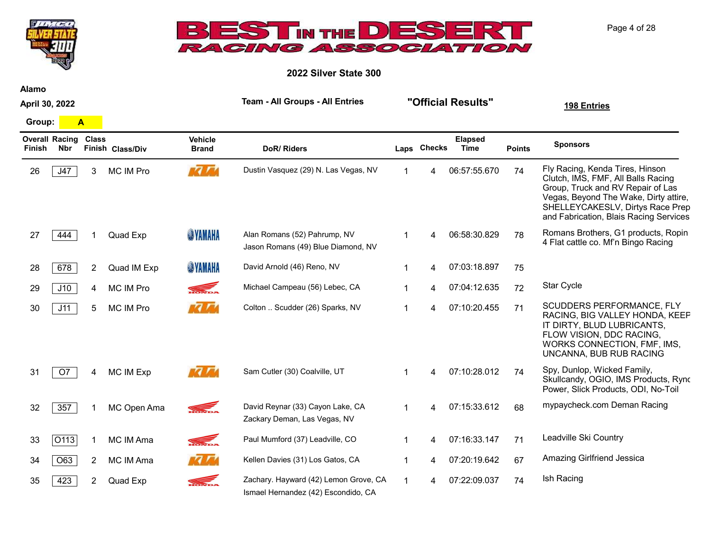

Alamo

April 30, 2022

**TANTE** 

Overall Racing Class Finish Nbr 26 J47 3 MC IM Pro MAMA Dustin Vasquez (29) N. Las Vegas, NV 1 4 06:57:55.670 74 Fly Racing, Kenda Tires, Hinson Clutch, IMS, FMF, All Balls Racing Group, Truck and RV Repair of Las Vegas, Beyond The Wake, Dirty attire, SHELLEYCAKESLV, Dirtys Race Prep and Fabrication, Blais Racing Services 27 444 1 Quad Exp WINNING Alan Romans (52) Pahrump, NV 1 4 06:58:30.829 78 Romans Brothers, G1 products, Ropin 4 Flat cattle co. Mf'n Bingo Racing Alan Romans (52) Pahrump, NV Jason Romans (49) Blue Diamond, NV Quad Exp 28 678 2 Quad IM Exp WAMAHA David Arnold (46) Reno, NV 1 4 07:03:18.897 75 29 J10 4 MC IM Pro Michael Campeau (56) Lebec, CA 1 4 07:04:12.635 72 Star Cycle 30 J11 5 MC IM Pro Colton Goldon Scudder (26) Sparks, NV 1 4 07:10:20.455 71 SCUDDERS PERFORMANCE, FLY RACING, BIG VALLEY HONDA, KEEP IT DIRTY, BLUD LUBRICANTS, FLOW VISION, DDC RACING, WORKS CONNECTION, FMF, IMS, UNCANNA, BUB RUB RACING Colton .. Scudder (26) Sparks, NV 31 O7 4 MC IM Exp 8 M2 3 Sam Cutler (30) Coalville, UT 4 07:10:28.012 74 Spy, Dunlop, Wicked Family, Skullcandy, OGIO, IMS Products, Ryno Power, Slick Products, ODI, No-Toil Sam Cutler (30) Coalville, UT 32 357 1 MC Open Ama David Reynar (33) Cayon Lake, CA 1 4 07:15:33.612 68 mypaycheck.com Deman Racing Zackary Deman, Las Vegas, NV MC Open Ama 33 O113 1 MC IM Ama Paul Mumford (37) Leadville, CO 1 4 07:16:33.147 71 Leadville Ski Country 34 O63 2 MC IM Ama **MC IM Ama** Kellen Davies (31) Los Gatos, CA 1 4 07:20:19.642 67 Amazing Girlfriend Jessica 35 423 2 Quad Exp Zachary. Hayward (42) Lemon Grove, CA 1 4 07:22:09.037 74 Ish Racing Quad Exp

Ismael Hernandez (42) Escondido, CA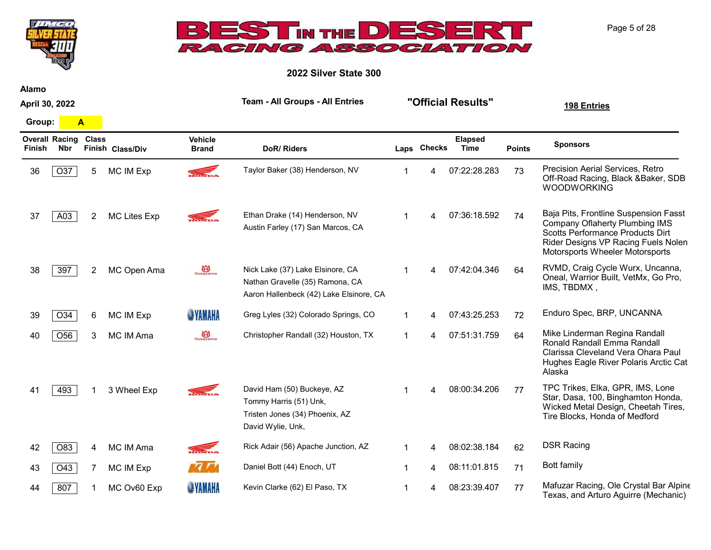



2022 Silver State 300

Alamo

April 30, 2022

Group: A

| <b>Finish</b> | <b>Overall Racing</b><br><b>Nbr</b> | <b>Class</b> | Finish Class/Div    | <b>Vehicle</b><br><b>Brand</b> | DoR/Riders                                                                                                     |   | Laps Checks | <b>Elapsed</b><br>Time | <b>Points</b> | <b>Sponsors</b>                                                                                                                                                                              |
|---------------|-------------------------------------|--------------|---------------------|--------------------------------|----------------------------------------------------------------------------------------------------------------|---|-------------|------------------------|---------------|----------------------------------------------------------------------------------------------------------------------------------------------------------------------------------------------|
| 36            | O37                                 | 5            | <b>MC IM Exp</b>    |                                | Taylor Baker (38) Henderson, NV                                                                                |   | 4           | 07:22:28.283           | 73            | Precision Aerial Services, Retro<br>Off-Road Racing, Black & Baker, SDB<br><b>WOODWORKING</b>                                                                                                |
| 37            | A03                                 | 2            | <b>MC Lites Exp</b> |                                | Ethan Drake (14) Henderson, NV<br>Austin Farley (17) San Marcos, CA                                            |   | 4           | 07:36:18.592           | 74            | Baja Pits, Frontline Suspension Fasst<br><b>Company Oflaherty Plumbing IMS</b><br>Scotts Performance Products Dirt<br>Rider Designs VP Racing Fuels Nolen<br>Motorsports Wheeler Motorsports |
| 38            | 397                                 | 2            | MC Open Ama         | Husqvarna                      | Nick Lake (37) Lake Elsinore, CA<br>Nathan Gravelle (35) Ramona, CA<br>Aaron Hallenbeck (42) Lake Elsinore, CA |   | 4           | 07:42:04.346           | 64            | RVMD, Craig Cycle Wurx, Uncanna,<br>Oneal, Warrior Built, VetMx, Go Pro,<br>IMS, TBDMX,                                                                                                      |
| 39            | O34                                 | 6            | <b>MC IM Exp</b>    | <b>SYAMAHA</b>                 | Greg Lyles (32) Colorado Springs, CO                                                                           |   | 4           | 07:43:25.253           | 72            | Enduro Spec, BRP, UNCANNA                                                                                                                                                                    |
| 40            | O <sub>56</sub>                     | 3            | MC IM Ama           | $\overrightarrow{B}$ Husqvarna | Christopher Randall (32) Houston, TX                                                                           |   | 4           | 07:51:31.759           | 64            | Mike Linderman Regina Randall<br>Ronald Randall Emma Randall<br>Clarissa Cleveland Vera Ohara Paul<br>Hughes Eagle River Polaris Arctic Cat<br>Alaska                                        |
| 41            | 493                                 |              | 3 Wheel Exp         | $\overline{\phantom{a}}$       | David Ham (50) Buckeye, AZ<br>Tommy Harris (51) Unk,<br>Tristen Jones (34) Phoenix, AZ<br>David Wylie, Unk,    |   | 4           | 08:00:34.206           | 77            | TPC Trikes, Elka, GPR, IMS, Lone<br>Star, Dasa, 100, Binghamton Honda,<br>Wicked Metal Design, Cheetah Tires,<br>Tire Blocks, Honda of Medford                                               |
| 42            | O83                                 | 4            | MC IM Ama           |                                | Rick Adair (56) Apache Junction, AZ                                                                            | 1 | 4           | 08:02:38.184           | 62            | <b>DSR Racing</b>                                                                                                                                                                            |
| 43            | O43                                 | 7            | MC IM Exp           |                                | Daniel Bott (44) Enoch, UT                                                                                     | 1 | 4           | 08:11:01.815           | 71            | Bott family                                                                                                                                                                                  |
| 44            | 807                                 |              | MC Ov60 Exp         | <b>SYAMAHA</b>                 | Kevin Clarke (62) El Paso, TX                                                                                  |   |             | 08:23:39.407           | 77            | Mafuzar Racing, Ole Crystal Bar Alpine<br>Texas, and Arturo Aguirre (Mechanic)                                                                                                               |

Page 5 of 28

Team - All Groups - All Entries "Official Results" 198 Entries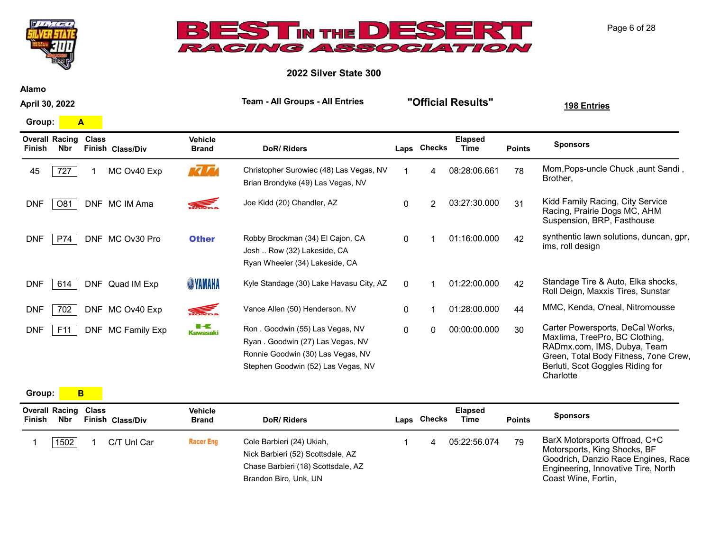



2022 Silver State 300

Alamo

April 30, 2022

Group: A

| Finish     | <b>Overall Racing</b><br>Nbr | Class | Finish Class/Div  | <b>Vehicle</b><br><b>Brand</b> | <b>DoR/Riders</b>                                                                                                                               |              | Laps Checks | <b>Elapsed</b><br>Time | <b>Points</b> | <b>Sponsors</b>                                                                                                                                                                             |
|------------|------------------------------|-------|-------------------|--------------------------------|-------------------------------------------------------------------------------------------------------------------------------------------------|--------------|-------------|------------------------|---------------|---------------------------------------------------------------------------------------------------------------------------------------------------------------------------------------------|
| 45         | 727                          |       | MC Ov40 Exp       | 77 A                           | Christopher Surowiec (48) Las Vegas, NV<br>Brian Brondyke (49) Las Vegas, NV                                                                    |              | 4           | 08:28:06.661           | 78            | Mom, Pops-uncle Chuck, aunt Sandi,<br>Brother,                                                                                                                                              |
| <b>DNF</b> | O81                          |       | DNF MC IM Ama     | <b>READER</b>                  | Joe Kidd (20) Chandler, AZ                                                                                                                      | 0            | 2           | 03:27:30.000           | 31            | Kidd Family Racing, City Service<br>Racing, Prairie Dogs MC, AHM<br>Suspension, BRP, Fasthouse                                                                                              |
| <b>DNF</b> | P74                          |       | DNF MC Ov30 Pro   | <b>Other</b>                   | Robby Brockman (34) El Cajon, CA<br>Josh  Row (32) Lakeside, CA<br>Ryan Wheeler (34) Lakeside, CA                                               | $\Omega$     |             | 01:16:00.000           | 42            | synthentic lawn solutions, duncan, gpr,<br>ims, roll design                                                                                                                                 |
| <b>DNF</b> | 614                          |       | DNF Quad IM Exp   | <b>SINAHA</b>                  | Kyle Standage (30) Lake Havasu City, AZ                                                                                                         | $\Omega$     |             | 01:22:00.000           | 42            | Standage Tire & Auto, Elka shocks,<br>Roll Deign, Maxxis Tires, Sunstar                                                                                                                     |
| <b>DNF</b> | 702                          |       | DNF MC Ov40 Exp   | <b>SELLER</b>                  | Vance Allen (50) Henderson, NV                                                                                                                  | $\mathbf{0}$ |             | 01:28:00.000           | 44            | MMC, Kenda, O'neal, Nitromousse                                                                                                                                                             |
| <b>DNF</b> | F11                          |       | DNF MC Family Exp | ■⋖<br><b>Kawasaki</b>          | Ron. Goodwin (55) Las Vegas, NV<br>Ryan . Goodwin (27) Las Vegas, NV<br>Ronnie Goodwin (30) Las Vegas, NV<br>Stephen Goodwin (52) Las Vegas, NV | $\mathbf{0}$ | 0           | 00:00:00.000           | 30            | Carter Powersports, DeCal Works,<br>Maxlima, TreePro, BC Clothing,<br>RADmx.com, IMS, Dubya, Team<br>Green, Total Body Fitness, 7one Crew,<br>Berluti, Scot Goggles Riding for<br>Charlotte |

Group: **B** 

| Finish | <b>Overall Racing Class</b><br>Nbr | Finish Class/Div | Vehicle<br><b>Brand</b> | DoR/Riders                                                                                                                    | Laps Checks | <b>Elapsed</b><br>Time | <b>Points</b> | <b>Sponsors</b>                                                                                                                                                    |
|--------|------------------------------------|------------------|-------------------------|-------------------------------------------------------------------------------------------------------------------------------|-------------|------------------------|---------------|--------------------------------------------------------------------------------------------------------------------------------------------------------------------|
|        | 1502                               | C/T Unl Car      | <b>Racer Eng</b>        | Cole Barbieri (24) Ukiah,<br>Nick Barbieri (52) Scottsdale, AZ<br>Chase Barbieri (18) Scottsdale, AZ<br>Brandon Biro, Unk, UN |             | 05:22:56.074           | 79            | BarX Motorsports Offroad, C+C<br>Motorsports, King Shocks, BF<br>Goodrich, Danzio Race Engines, Race<br>Engineering, Innovative Tire, North<br>Coast Wine, Fortin, |

Page 6 of 28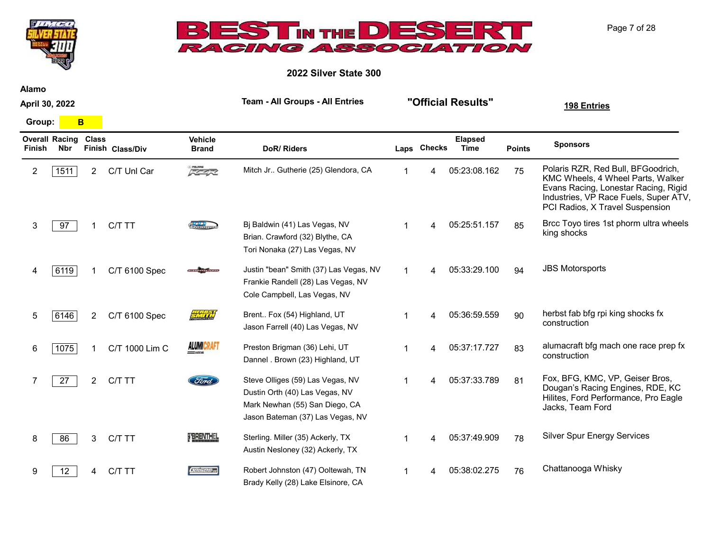



2022 Silver State 300

Alamo

April 30, 2022

Team - All Groups - All Entries "Official Results" 198 Entries

Group: **B** 

| <b>Finish</b> | <b>Overall Racing</b><br>Nbr | <b>Class</b>          | Finish Class/Div | <b>Vehicle</b><br><b>Brand</b> | DoR/Riders                                                                                                                               | Laps Checks | <b>Elapsed</b><br><b>Time</b> | <b>Points</b> | <b>Sponsors</b>                                                                                                                                                                             |
|---------------|------------------------------|-----------------------|------------------|--------------------------------|------------------------------------------------------------------------------------------------------------------------------------------|-------------|-------------------------------|---------------|---------------------------------------------------------------------------------------------------------------------------------------------------------------------------------------------|
| 2             | 1511                         | $\overline{2}$        | C/T Unl Car      | 反革命                            | Mitch Jr Gutherie (25) Glendora, CA                                                                                                      | 4           | 05:23:08.162                  | 75            | Polaris RZR, Red Bull, BFGoodrich,<br>KMC Wheels, 4 Wheel Parts, Walker<br>Evans Racing, Lonestar Racing, Rigid<br>Industries, VP Race Fuels, Super ATV.<br>PCI Radios, X Travel Suspension |
| 3             | 97                           |                       | C/T TT           |                                | Bj Baldwin (41) Las Vegas, NV<br>Brian. Crawford (32) Blythe, CA<br>Tori Nonaka (27) Las Vegas, NV                                       |             | 05:25:51.157                  | 85            | Brcc Toyo tires 1st phorm ultra wheels<br>king shocks                                                                                                                                       |
|               | 6119                         |                       | C/T 6100 Spec    |                                | Justin "bean" Smith (37) Las Vegas, NV<br>Frankie Randell (28) Las Vegas, NV<br>Cole Campbell, Las Vegas, NV                             |             | 05:33:29.100                  | 94            | <b>JBS Motorsports</b>                                                                                                                                                                      |
| 5             | 6146                         | $\mathbf{2}^{\prime}$ | C/T 6100 Spec    | <b>City of the T</b>           | Brent Fox (54) Highland, UT<br>Jason Farrell (40) Las Vegas, NV                                                                          |             | 05:36:59.559                  | 90            | herbst fab bfg rpi king shocks fx<br>construction                                                                                                                                           |
| 6             | 1075                         |                       | C/T 1000 Lim C   | <b>ALUMICRAFT</b>              | Preston Brigman (36) Lehi, UT<br>Dannel . Brown (23) Highland, UT                                                                        |             | 05:37:17.727                  | 83            | alumacraft bfg mach one race prep fx<br>construction                                                                                                                                        |
|               | 27                           | $\mathbf{2}^{\prime}$ | C/T TT           | Ford                           | Steve Olliges (59) Las Vegas, NV<br>Dustin Orth (40) Las Vegas, NV<br>Mark Newhan (55) San Diego, CA<br>Jason Bateman (37) Las Vegas, NV | 4           | 05:37:33.789                  | 81            | Fox, BFG, KMC, VP, Geiser Bros,<br>Dougan's Racing Engines, RDE, KC<br>Hilites, Ford Performance, Pro Eagle<br>Jacks, Team Ford                                                             |
| 8             | 86                           | 3                     | C/T TT           | <b>TBRENTHEL</b>               | Sterling. Miller (35) Ackerly, TX<br>Austin Nesloney (32) Ackerly, TX                                                                    |             | 05:37:49.909                  | 78            | <b>Silver Spur Energy Services</b>                                                                                                                                                          |
| 9             | 12                           |                       | C/T TT           | Telser                         | Robert Johnston (47) Ooltewah, TN<br>Brady Kelly (28) Lake Elsinore, CA                                                                  |             | 05:38:02.275                  | 76            | Chattanooga Whisky                                                                                                                                                                          |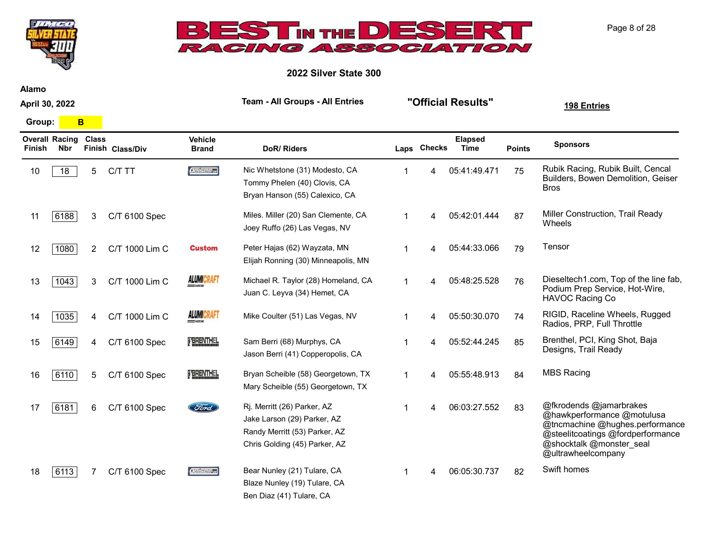



2022 Silver State 300

Alamo

April 30, 2022

Group: **B** 

| Finish | <b>Overall Racing</b><br>Nbr | <b>Class</b>   | Finish Class/Div | <b>Vehicle</b><br><b>Brand</b> | DoR/Riders                                                                                                                   | Laps Checks | <b>Elapsed</b><br>Time | <b>Points</b> | <b>Sponsors</b>                                                                                                                                                                 |
|--------|------------------------------|----------------|------------------|--------------------------------|------------------------------------------------------------------------------------------------------------------------------|-------------|------------------------|---------------|---------------------------------------------------------------------------------------------------------------------------------------------------------------------------------|
| 10     | 18                           | 5              | C/T TT           | <b>Oeiser</b> os               | Nic Whetstone (31) Modesto, CA<br>Tommy Phelen (40) Clovis, CA<br>Bryan Hanson (55) Calexico, CA                             | 4           | 05:41:49.471           | 75            | Rubik Racing, Rubik Built, Cencal<br>Builders, Bowen Demolition, Geiser<br><b>Bros</b>                                                                                          |
| 11     | 6188                         | 3              | C/T 6100 Spec    |                                | Miles. Miller (20) San Clemente, CA<br>Joey Ruffo (26) Las Vegas, NV                                                         |             | 05:42:01.444           | 87            | Miller Construction, Trail Ready<br>Wheels                                                                                                                                      |
| 12     | 1080                         | $\overline{2}$ | C/T 1000 Lim C   | <b>Custom</b>                  | Peter Hajas (62) Wayzata, MN<br>Elijah Ronning (30) Minneapolis, MN                                                          | 4           | 05:44:33.066           | 79            | Tensor                                                                                                                                                                          |
| 13     | 1043                         | 3              | C/T 1000 Lim C   | <b>ALUMICRAFT</b>              | Michael R. Taylor (28) Homeland, CA<br>Juan C. Leyva (34) Hemet, CA                                                          | 4           | 05:48:25.528           | 76            | Dieseltech1.com, Top of the line fab,<br>Podium Prep Service, Hot-Wire,<br>HAVOC Racing Co                                                                                      |
| 14     | 1035                         | 4              | C/T 1000 Lim C   | <b>ALUMICRAFT</b>              | Mike Coulter (51) Las Vegas, NV                                                                                              |             | 05:50:30.070           | 74            | RIGID, Raceline Wheels, Rugged<br>Radios, PRP, Full Throttle                                                                                                                    |
| 15     | 6149                         | 4              | C/T 6100 Spec    | <b>TBRENTHEL</b>               | Sam Berri (68) Murphys, CA<br>Jason Berri (41) Copperopolis, CA                                                              | 4           | 05:52:44.245           | 85            | Brenthel, PCI, King Shot, Baja<br>Designs, Trail Ready                                                                                                                          |
| 16     | 6110                         | 5              | C/T 6100 Spec    | <b>TBRENTHEL</b>               | Bryan Scheible (58) Georgetown, TX<br>Mary Scheible (55) Georgetown, TX                                                      | 4           | 05:55:48.913           | 84            | <b>MBS Racing</b>                                                                                                                                                               |
| 17     | 6181                         | 6              | C/T 6100 Spec    | Ford                           | Rj. Merritt (26) Parker, AZ<br>Jake Larson (29) Parker, AZ<br>Randy Merritt (53) Parker, AZ<br>Chris Golding (45) Parker, AZ |             | 06:03:27.552           | 83            | @fkrodends @jamarbrakes<br>@hawkperformance @motulusa<br>@tncmachine @hughes.performance<br>@steelitcoatings @fordperformance<br>@shocktalk @monster_seal<br>@ultrawheelcompany |
| 18     | 6113                         |                | C/T 6100 Spec    | $5/2/5/2$ Free                 | Bear Nunley (21) Tulare, CA<br>Blaze Nunley (19) Tulare, CA                                                                  |             | 06:05:30.737           | 82            | Swift homes                                                                                                                                                                     |

Ben Diaz (41) Tulare, CA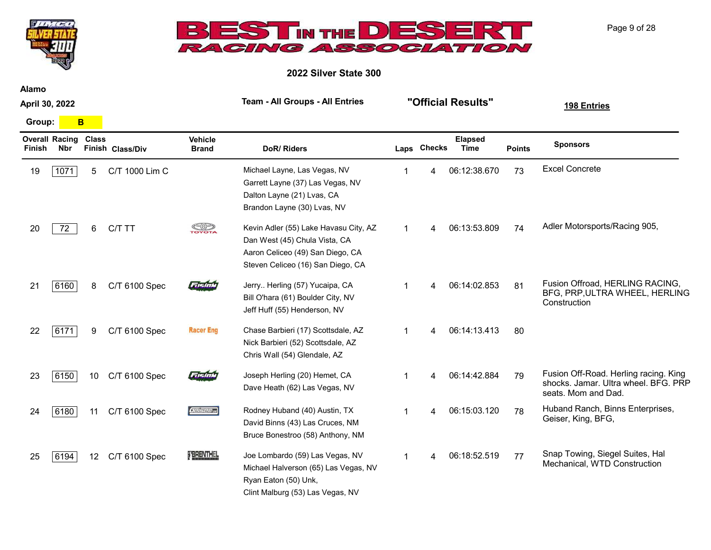



2022 Silver State 300

Alamo

April 30, 2022

Group: **B** 

| Finish | <b>Overall Racing</b><br><b>Nbr</b> | <b>Class</b> | Finish Class/Div | <b>Vehicle</b><br><b>Brand</b> | DoR/Riders                                                                                                                                      |   | Laps Checks | <b>Elapsed</b><br>Time | <b>Points</b> | <b>Sponsors</b>                                                                                      |
|--------|-------------------------------------|--------------|------------------|--------------------------------|-------------------------------------------------------------------------------------------------------------------------------------------------|---|-------------|------------------------|---------------|------------------------------------------------------------------------------------------------------|
| 19     | 1071                                | 5            | C/T 1000 Lim C   |                                | Michael Layne, Las Vegas, NV<br>Garrett Layne (37) Las Vegas, NV<br>Dalton Layne (21) Lvas, CA<br>Brandon Layne (30) Lvas, NV                   |   |             | 06:12:38.670           | 73            | <b>Excel Concrete</b>                                                                                |
| 20     | 72                                  | 6            | C/T TT           | <b>SOP</b>                     | Kevin Adler (55) Lake Havasu City, AZ<br>Dan West (45) Chula Vista, CA<br>Aaron Celiceo (49) San Diego, CA<br>Steven Celiceo (16) San Diego, CA |   |             | 06:13:53.809           | 74            | Adler Motorsports/Racing 905,                                                                        |
| 21     | 6160                                | 8            | C/T 6100 Spec    | Fisink                         | Jerry Herling (57) Yucaipa, CA<br>Bill O'hara (61) Boulder City, NV<br>Jeff Huff (55) Henderson, NV                                             |   |             | 06:14:02.853           | 81            | Fusion Offroad, HERLING RACING,<br>BFG, PRP, ULTRA WHEEL, HERLING<br>Construction                    |
| 22     | 6171                                | 9            | C/T 6100 Spec    | <b>Racer Eng</b>               | Chase Barbieri (17) Scottsdale, AZ<br>Nick Barbieri (52) Scottsdale, AZ<br>Chris Wall (54) Glendale, AZ                                         |   |             | 06:14:13.413           | 80            |                                                                                                      |
| 23     | 6150                                | 10           | C/T 6100 Spec    | FIEITA                         | Joseph Herling (20) Hemet, CA<br>Dave Heath (62) Las Vegas, NV                                                                                  | 1 |             | 06:14:42.884           | 79            | Fusion Off-Road. Herling racing. King<br>shocks. Jamar. Ultra wheel. BFG. PRP<br>seats. Mom and Dad. |
| 24     | 6180                                | 11           | C/T 6100 Spec    | <b>Geisen</b> a                | Rodney Huband (40) Austin, TX<br>David Binns (43) Las Cruces, NM<br>Bruce Bonestroo (58) Anthony, NM                                            |   |             | 06:15:03.120           | 78            | Huband Ranch, Binns Enterprises,<br>Geiser, King, BFG,                                               |
| 25     | 6194                                | 12           | C/T 6100 Spec    | FBRENTHEL                      | Joe Lombardo (59) Las Vegas, NV<br>Michael Halverson (65) Las Vegas, NV<br>Ryan Eaton (50) Unk,<br>Clint Malburg (53) Las Vegas, NV             |   |             | 06:18:52.519           | 77            | Snap Towing, Siegel Suites, Hal<br>Mechanical, WTD Construction                                      |

Page 9 of 28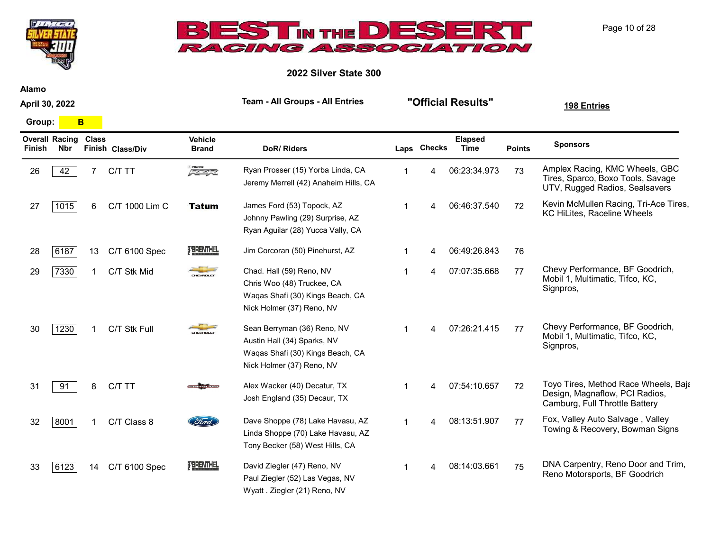



2022 Silver State 300

Alamo

April 30, 2022

Group: **B** 

| Finish | <b>Overall Racing</b><br>Nbr | <b>Class</b> | Finish Class/Div | <b>Vehicle</b><br><b>Brand</b> | <b>DoR/Riders</b>                                                                                                           |                | Laps Checks | <b>Elapsed</b><br>Time | <b>Points</b> | <b>Sponsors</b>                                                                                          |
|--------|------------------------------|--------------|------------------|--------------------------------|-----------------------------------------------------------------------------------------------------------------------------|----------------|-------------|------------------------|---------------|----------------------------------------------------------------------------------------------------------|
| 26     | 42                           |              | C/T TT           | $\sqrt{2}$                     | Ryan Prosser (15) Yorba Linda, CA<br>Jeremy Merrell (42) Anaheim Hills, CA                                                  |                | 4           | 06:23:34.973           | 73            | Amplex Racing, KMC Wheels, GBC<br>Tires, Sparco, Boxo Tools, Savage<br>UTV, Rugged Radios, Sealsavers    |
| 27     | 1015                         | 6            | C/T 1000 Lim C   | <b>Tatum</b>                   | James Ford (53) Topock, AZ<br>Johnny Pawling (29) Surprise, AZ<br>Ryan Aguilar (28) Yucca Vally, CA                         | -1             |             | 06:46:37.540           | 72            | Kevin McMullen Racing, Tri-Ace Tires,<br>KC HiLites, Raceline Wheels                                     |
| 28     | 6187                         | 13           | C/T 6100 Spec    | <b>TBRENTHEL</b>               | Jim Corcoran (50) Pinehurst, AZ                                                                                             |                |             | 06:49:26.843           | 76            |                                                                                                          |
| 29     | 7330                         |              | C/T Stk Mid      | CHEVROLET                      | Chad. Hall (59) Reno, NV<br>Chris Woo (48) Truckee, CA<br>Waqas Shafi (30) Kings Beach, CA<br>Nick Holmer (37) Reno, NV     |                |             | 07:07:35.668           | 77            | Chevy Performance, BF Goodrich,<br>Mobil 1, Multimatic, Tifco, KC,<br>Signpros,                          |
| 30     | 1230                         |              | C/T Stk Full     |                                | Sean Berryman (36) Reno, NV<br>Austin Hall (34) Sparks, NV<br>Waqas Shafi (30) Kings Beach, CA<br>Nick Holmer (37) Reno, NV |                |             | 07:26:21.415           | 77            | Chevy Performance, BF Goodrich,<br>Mobil 1, Multimatic, Tifco, KC,<br>Signpros,                          |
| 31     | 91                           | 8            | C/T TT           |                                | Alex Wacker (40) Decatur, TX<br>Josh England (35) Decaur, TX                                                                | -1             | Δ           | 07:54:10.657           | 72            | Toyo Tires, Method Race Wheels, Baja<br>Design, Magnaflow, PCI Radios,<br>Camburg, Full Throttle Battery |
| 32     | 8001                         |              | C/T Class 8      | Ford                           | Dave Shoppe (78) Lake Havasu, AZ<br>Linda Shoppe (70) Lake Havasu, AZ<br>Tony Becker (58) West Hills, CA                    | $\overline{1}$ | Δ           | 08:13:51.907           | 77            | Fox, Valley Auto Salvage, Valley<br>Towing & Recovery, Bowman Signs                                      |
| 33     | 6123                         | 14           | C/T 6100 Spec    | <b>TERENTHEL</b>               | David Ziegler (47) Reno, NV<br>Paul Ziegler (52) Las Vegas, NV<br>Wyatt . Ziegler (21) Reno, NV                             |                |             | 08:14:03.661           | 75            | DNA Carpentry, Reno Door and Trim,<br>Reno Motorsports, BF Goodrich                                      |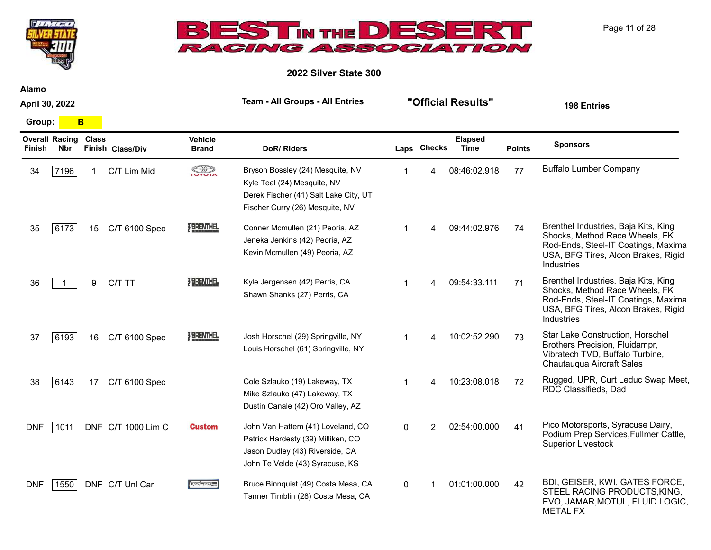



2022 Silver State 300

Alamo

April 30, 2022

Group: **B** 

| <b>Finish</b> | <b>Overall Racing</b><br><b>Nbr</b> | <b>Class</b> | Finish Class/Div   | <b>Vehicle</b><br><b>Brand</b> | <b>DoR/Riders</b>                                                                                                                             |          | Laps Checks    | <b>Elapsed</b><br><b>Time</b> | <b>Points</b> | <b>Sponsors</b>                                                                                                                                                    |
|---------------|-------------------------------------|--------------|--------------------|--------------------------------|-----------------------------------------------------------------------------------------------------------------------------------------------|----------|----------------|-------------------------------|---------------|--------------------------------------------------------------------------------------------------------------------------------------------------------------------|
| 34            | 7196                                | 1.           | C/T Lim Mid        | <b>SOP</b>                     | Bryson Bossley (24) Mesquite, NV<br>Kyle Teal (24) Mesquite, NV<br>Derek Fischer (41) Salt Lake City, UT<br>Fischer Curry (26) Mesquite, NV   |          |                | 08:46:02.918                  | 77            | <b>Buffalo Lumber Company</b>                                                                                                                                      |
| 35            | 6173                                | 15           | C/T 6100 Spec      | FBRENTHEL                      | Conner Mcmullen (21) Peoria, AZ<br>Jeneka Jenkins (42) Peoria, AZ<br>Kevin Mcmullen (49) Peoria, AZ                                           |          |                | 09:44:02.976                  | 74            | Brenthel Industries, Baja Kits, King<br>Shocks, Method Race Wheels, FK<br>Rod-Ends, Steel-IT Coatings, Maxima<br>USA, BFG Tires, Alcon Brakes, Rigid<br>Industries |
| 36            |                                     | 9            | C/T TT             | <b>FBRENTHEL</b>               | Kyle Jergensen (42) Perris, CA<br>Shawn Shanks (27) Perris, CA                                                                                |          | Δ              | 09:54:33.111                  | 71            | Brenthel Industries, Baja Kits, King<br>Shocks, Method Race Wheels, FK<br>Rod-Ends, Steel-IT Coatings, Maxima<br>USA, BFG Tires, Alcon Brakes, Rigid<br>Industries |
| 37            | 6193                                | 16           | C/T 6100 Spec      | <b>TBRENTHEL</b>               | Josh Horschel (29) Springville, NY<br>Louis Horschel (61) Springville, NY                                                                     |          | 4              | 10:02:52.290                  | 73            | Star Lake Construction, Horschel<br>Brothers Precision, Fluidampr,<br>Vibratech TVD, Buffalo Turbine,<br>Chautauqua Aircraft Sales                                 |
| 38            | 6143                                | 17           | C/T 6100 Spec      |                                | Cole Szlauko (19) Lakeway, TX<br>Mike Szlauko (47) Lakeway, TX<br>Dustin Canale (42) Oro Valley, AZ                                           |          |                | 10:23:08.018                  | 72            | Rugged, UPR, Curt Leduc Swap Meet,<br>RDC Classifieds, Dad                                                                                                         |
| <b>DNF</b>    | 1011                                |              | DNF C/T 1000 Lim C | <b>Custom</b>                  | John Van Hattem (41) Loveland, CO<br>Patrick Hardesty (39) Milliken, CO<br>Jason Dudley (43) Riverside, CA<br>John Te Velde (43) Syracuse, KS | $\Omega$ | $\mathfrak{p}$ | 02:54:00.000                  | 41            | Pico Motorsports, Syracuse Dairy,<br>Podium Prep Services, Fullmer Cattle,<br><b>Superior Livestock</b>                                                            |
| <b>DNF</b>    | 1550                                |              | DNF C/T Unl Car    | 121526.es                      | Bruce Binnquist (49) Costa Mesa, CA<br>Tanner Timblin (28) Costa Mesa, CA                                                                     | 0        |                | 01:01:00.000                  | 42            | BDI, GEISER, KWI, GATES FORCE,<br>STEEL RACING PRODUCTS, KING,<br>EVO, JAMAR, MOTUL, FLUID LOGIC,<br><b>METAL FX</b>                                               |

Page 11 of 28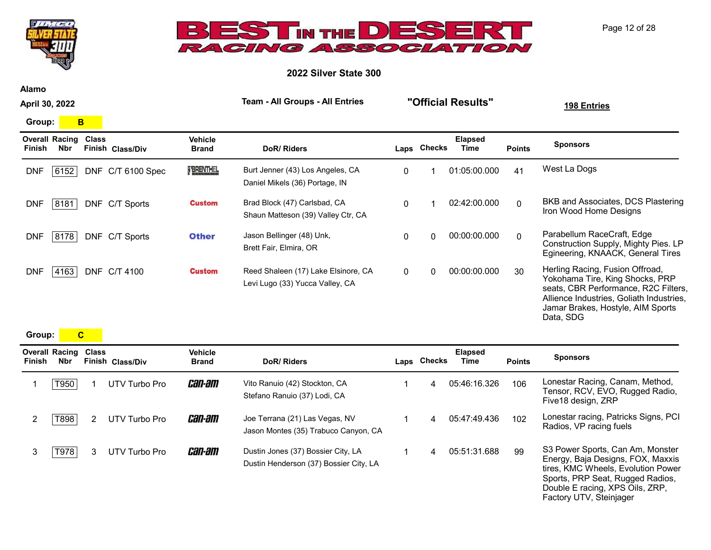



2022 Silver State 300

Alamo

April 30, 2022

Group: **B** 

| <b>Overall Racing</b><br>Nbr<br>Finish | <b>Class</b> | Finish Class/Div  | <b>Vehicle</b><br><b>Brand</b> | DoR/Riders                                                             |   | Laps Checks | <b>Elapsed</b><br>Time | <b>Points</b> | <b>Sponsors</b>                                                                                                                                                                                          |
|----------------------------------------|--------------|-------------------|--------------------------------|------------------------------------------------------------------------|---|-------------|------------------------|---------------|----------------------------------------------------------------------------------------------------------------------------------------------------------------------------------------------------------|
| <b>DNF</b><br>6152                     |              | DNF C/T 6100 Spec | FERENTHEL                      | Burt Jenner (43) Los Angeles, CA<br>Daniel Mikels (36) Portage, IN     | 0 |             | 01:05:00.000           | 41            | West La Dogs                                                                                                                                                                                             |
| <b>DNF</b><br>8181                     | DNF.         | C/T Sports        | <b>Custom</b>                  | Brad Block (47) Carlsbad, CA<br>Shaun Matteson (39) Valley Ctr, CA     | 0 |             | 02:42:00.000           | $\Omega$      | BKB and Associates, DCS Plastering<br>Iron Wood Home Designs                                                                                                                                             |
| <b>DNF</b><br>8178                     | <b>DNF</b>   | C/T Sports        | <b>Other</b>                   | Jason Bellinger (48) Unk,<br>Brett Fair, Elmira, OR                    | 0 | 0           | 00:00:00.000           | $\Omega$      | Parabellum RaceCraft, Edge<br>Construction Supply, Mighty Pies. LP<br>Egineering, KNAACK, General Tires                                                                                                  |
| <b>DNF</b><br>4163                     | <b>DNF</b>   | C/T 4100          | <b>Custom</b>                  | Reed Shaleen (17) Lake Elsinore, CA<br>Levi Lugo (33) Yucca Valley, CA | 0 | 0           | 00:00:00.000           | 30            | Herling Racing, Fusion Offroad,<br>Yokohama Tire, King Shocks, PRP<br>seats, CBR Performance, R2C Filters,<br>Allience Industries, Goliath Industries,<br>Jamar Brakes, Hostyle, AIM Sports<br>Data, SDG |

Group: C

| Finish | <b>Overall Racing</b><br>Nbr | <b>Class</b>          | Finish Class/Div | <b>Vehicle</b><br><b>Brand</b> | DoR/Riders                                                                   | Laps Checks | <b>Elapsed</b><br>Time | <b>Points</b> | <b>Sponsors</b>                                                                                                                                                                                               |
|--------|------------------------------|-----------------------|------------------|--------------------------------|------------------------------------------------------------------------------|-------------|------------------------|---------------|---------------------------------------------------------------------------------------------------------------------------------------------------------------------------------------------------------------|
|        | T950                         |                       | UTV Turbo Pro    | <i>can-am</i>                  | Vito Ranuio (42) Stockton, CA<br>Stefano Ranuio (37) Lodi, CA                | 4           | 05:46:16.326           | 106           | Lonestar Racing, Canam, Method,<br>Tensor, RCV, EVO, Rugged Radio,<br>Five18 design, ZRP                                                                                                                      |
|        | T898                         | $\mathbf{2}^{\prime}$ | UTV Turbo Pro    | <i>can-am</i>                  | Joe Terrana (21) Las Vegas, NV<br>Jason Montes (35) Trabuco Canyon, CA       | 4           | 05:47:49.436           | 102           | Lonestar racing, Patricks Signs, PCI<br>Radios, VP racing fuels                                                                                                                                               |
| 3      | T978                         | 3                     | UTV Turbo Pro    | <i>can-am</i>                  | Dustin Jones (37) Bossier City, LA<br>Dustin Henderson (37) Bossier City, LA | 4           | 05:51:31.688           | 99            | S3 Power Sports, Can Am, Monster<br>Energy, Baja Designs, FOX, Maxxis<br>tires, KMC Wheels, Evolution Power<br>Sports, PRP Seat, Rugged Radios,<br>Double E racing, XPS Oils, ZRP,<br>Factory UTV, Steinjager |

Page 12 of 28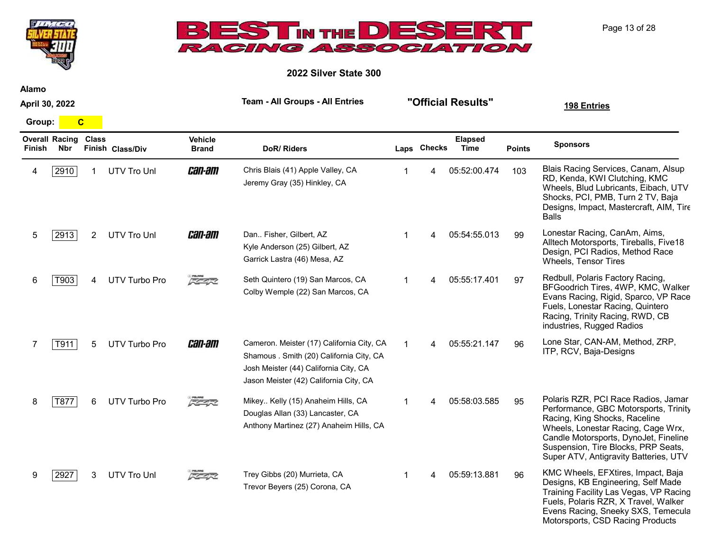



2022 Silver State 300

Alamo

April 30, 2022

Group: C

| <b>Finish</b> | <b>Overall Racing</b><br><b>Nbr</b> | <b>Class</b> | Finish Class/Div     | <b>Vehicle</b><br><b>Brand</b> | <b>DoR/Riders</b>                                                                                                                                                        |    | Laps Checks | <b>Elapsed</b><br>Time | <b>Points</b> | <b>Sponsors</b>                                                                                                                                                                                                                                                              |
|---------------|-------------------------------------|--------------|----------------------|--------------------------------|--------------------------------------------------------------------------------------------------------------------------------------------------------------------------|----|-------------|------------------------|---------------|------------------------------------------------------------------------------------------------------------------------------------------------------------------------------------------------------------------------------------------------------------------------------|
|               | 2910                                |              | UTV Tro Unl          | <i>can-am</i>                  | Chris Blais (41) Apple Valley, CA<br>Jeremy Gray (35) Hinkley, CA                                                                                                        |    |             | 05:52:00.474           | 103           | Blais Racing Services, Canam, Alsup<br>RD, Kenda, KWI Clutching, KMC<br>Wheels, Blud Lubricants, Eibach, UTV<br>Shocks, PCI, PMB, Turn 2 TV, Baja<br>Designs, Impact, Mastercraft, AIM, Tire<br><b>Balls</b>                                                                 |
| 5             | 2913                                | 2            | <b>UTV Tro Unl</b>   | <i>can-am</i>                  | Dan Fisher, Gilbert, AZ<br>Kyle Anderson (25) Gilbert, AZ<br>Garrick Lastra (46) Mesa, AZ                                                                                | 1  | 4           | 05:54:55.013           | 99            | Lonestar Racing, CanAm, Aims,<br>Alltech Motorsports, Tireballs, Five18<br>Design, PCI Radios, Method Race<br><b>Wheels, Tensor Tires</b>                                                                                                                                    |
| 6             | T903                                | 4            | <b>UTV Turbo Pro</b> | 反革命                            | Seth Quintero (19) San Marcos, CA<br>Colby Wemple (22) San Marcos, CA                                                                                                    | 1  | 4           | 05:55:17.401           | 97            | Redbull, Polaris Factory Racing,<br>BFGoodrich Tires, 4WP, KMC, Walker<br>Evans Racing, Rigid, Sparco, VP Race<br>Fuels, Lonestar Racing, Quintero<br>Racing, Trinity Racing, RWD, CB<br>industries, Rugged Radios                                                           |
|               | T911                                | 5            | <b>UTV Turbo Pro</b> | <i>can-am</i>                  | Cameron. Meister (17) California City, CA<br>Shamous . Smith (20) California City, CA<br>Josh Meister (44) California City, CA<br>Jason Meister (42) California City, CA | -1 | 4           | 05:55:21.147           | 96            | Lone Star, CAN-AM, Method, ZRP,<br>ITP, RCV, Baja-Designs                                                                                                                                                                                                                    |
| 8             | T877                                | 6            | <b>UTV Turbo Pro</b> | 医生长                            | Mikey Kelly (15) Anaheim Hills, CA<br>Douglas Allan (33) Lancaster, CA<br>Anthony Martinez (27) Anaheim Hills, CA                                                        | 1  | 4           | 05:58:03.585           | 95            | Polaris RZR, PCI Race Radios, Jamar<br>Performance, GBC Motorsports, Trinity<br>Racing, King Shocks, Raceline<br>Wheels, Lonestar Racing, Cage Wrx,<br>Candle Motorsports, DynoJet, Fineline<br>Suspension, Tire Blocks, PRP Seats,<br>Super ATV, Antigravity Batteries, UTV |
| 9             | 2927                                | 3            | <b>UTV Tro Unl</b>   | スクイズ                           | Trey Gibbs (20) Murrieta, CA<br>Trevor Beyers (25) Corona, CA                                                                                                            | 1. | 4           | 05:59:13.881           | 96            | KMC Wheels, EFXtires, Impact, Baja<br>Designs, KB Engineering, Self Made<br>Training Facility Las Vegas, VP Racing<br>Fuels, Polaris RZR, X Travel, Walker<br>Evens Racing, Sneeky SXS, Temecula<br>Motorsports, CSD Racing Products                                         |

Page 13 of 28

Team - All Groups - All Entries "Official Results" 198 Entries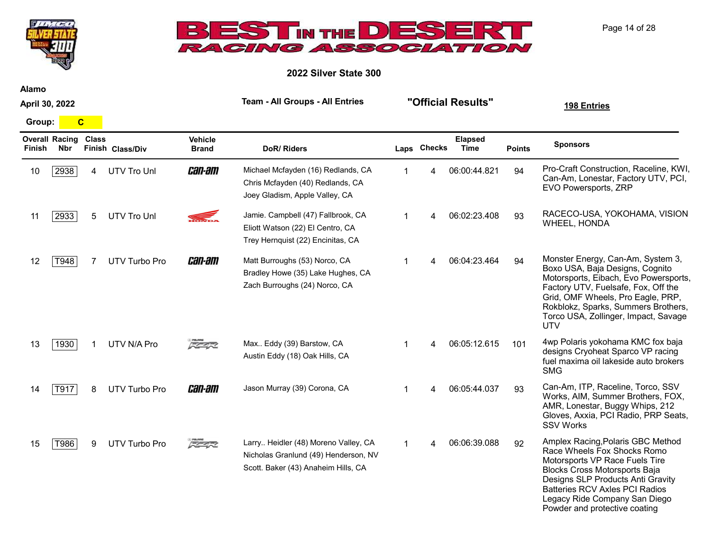



2022 Silver State 300

Alamo

April 30, 2022

Group: C

| Finish | <b>Overall Racing</b><br>Nbr | <b>Class</b> | Finish Class/Div | <b>Vehicle</b><br><b>Brand</b> | DoR/Riders                                                                                                          | Laps Checks | <b>Elapsed</b><br>Time | <b>Points</b> | <b>Sponsors</b>                                                                                                                                                                                                                                                                        |
|--------|------------------------------|--------------|------------------|--------------------------------|---------------------------------------------------------------------------------------------------------------------|-------------|------------------------|---------------|----------------------------------------------------------------------------------------------------------------------------------------------------------------------------------------------------------------------------------------------------------------------------------------|
| 10     | 2938                         | 4            | UTV Tro Unl      | <i>can-am</i>                  | Michael Mcfayden (16) Redlands, CA<br>Chris Mcfayden (40) Redlands, CA<br>Joey Gladism, Apple Valley, CA            |             | 06:00:44.821           | 94            | Pro-Craft Construction, Raceline, KWI,<br>Can-Am, Lonestar, Factory UTV, PCI,<br>EVO Powersports, ZRP                                                                                                                                                                                  |
| 11     | 2933                         | 5            | UTV Tro Unl      |                                | Jamie. Campbell (47) Fallbrook, CA<br>Eliott Watson (22) El Centro, CA<br>Trey Hernquist (22) Encinitas, CA         |             | 06:02:23.408           | 93            | RACECO-USA, YOKOHAMA, VISION<br><b>WHEEL, HONDA</b>                                                                                                                                                                                                                                    |
| 12     | T948                         |              | UTV Turbo Pro    | <i>can-am</i>                  | Matt Burroughs (53) Norco, CA<br>Bradley Howe (35) Lake Hughes, CA<br>Zach Burroughs (24) Norco, CA                 |             | 06:04:23.464           | 94            | Monster Energy, Can-Am, System 3,<br>Boxo USA, Baja Designs, Cognito<br>Motorsports, Eibach, Evo Powersports,<br>Factory UTV, Fuelsafe, Fox, Off the<br>Grid, OMF Wheels, Pro Eagle, PRP,<br>Rokblokz, Sparks, Summers Brothers,<br>Torco USA, Zollinger, Impact, Savage<br><b>UTV</b> |
| 13     | 1930                         |              | UTV N/A Pro      | FS-473                         | Max Eddy (39) Barstow, CA<br>Austin Eddy (18) Oak Hills, CA                                                         | 4           | 06:05:12.615           | 101           | 4wp Polaris yokohama KMC fox baja<br>designs Cryoheat Sparco VP racing<br>fuel maxima oil lakeside auto brokers<br><b>SMG</b>                                                                                                                                                          |
| 14     | T917                         | 8            | UTV Turbo Pro    | <i>can-am</i>                  | Jason Murray (39) Corona, CA                                                                                        |             | 06:05:44.037           | 93            | Can-Am, ITP, Raceline, Torco, SSV<br>Works, AIM, Summer Brothers, FOX,<br>AMR, Lonestar, Buggy Whips, 212<br>Gloves, Axxia, PCI Radio, PRP Seats,<br><b>SSV Works</b>                                                                                                                  |
| 15     | T986                         | 9            | UTV Turbo Pro    | 医生长                            | Larry Heidler (48) Moreno Valley, CA<br>Nicholas Granlund (49) Henderson, NV<br>Scott. Baker (43) Anaheim Hills, CA |             | 06:06:39.088           | 92            | Amplex Racing, Polaris GBC Method<br>Race Wheels Fox Shocks Romo<br>Motorsports VP Race Fuels Tire<br>Blocks Cross Motorsports Baja<br>Designs SLP Products Anti Gravity<br><b>Batteries RCV Axles PCI Radios</b><br>Legacy Ride Company San Diego<br>Powder and protective coating    |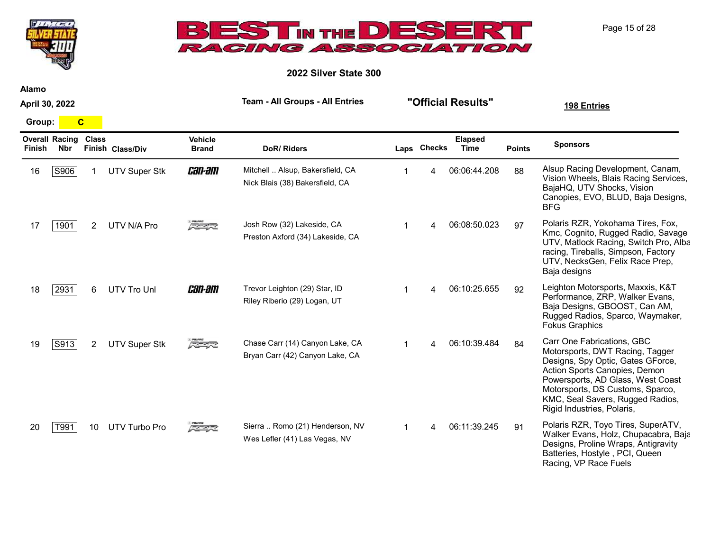



2022 Silver State 300

Alamo

April 30, 2022

Team - All Groups - All Entries "Official Results" 198 Entries

Group: C

| <b>Finish</b> | <b>Overall Racing Class</b><br>Nbr |                | Finish Class/Div     | <b>Vehicle</b><br><b>Brand</b> | <b>DoR/Riders</b>                                                   | Laps Checks | <b>Elapsed</b><br><b>Time</b> | <b>Points</b> | <b>Sponsors</b>                                                                                                                                                                                                                                                                |
|---------------|------------------------------------|----------------|----------------------|--------------------------------|---------------------------------------------------------------------|-------------|-------------------------------|---------------|--------------------------------------------------------------------------------------------------------------------------------------------------------------------------------------------------------------------------------------------------------------------------------|
| 16            | S906                               |                | <b>UTV Super Stk</b> | <i>can-am</i>                  | Mitchell  Alsup, Bakersfield, CA<br>Nick Blais (38) Bakersfield, CA | 4           | 06:06:44.208                  | 88            | Alsup Racing Development, Canam,<br>Vision Wheels, Blais Racing Services,<br>BajaHQ, UTV Shocks, Vision<br>Canopies, EVO, BLUD, Baja Designs,<br><b>BFG</b>                                                                                                                    |
| 17            | 1901                               | $\overline{2}$ | UTV N/A Pro          | 大学学习                           | Josh Row (32) Lakeside, CA<br>Preston Axford (34) Lakeside, CA      |             | 06:08:50.023                  | 97            | Polaris RZR, Yokohama Tires, Fox,<br>Kmc, Cognito, Rugged Radio, Savage<br>UTV, Matlock Racing, Switch Pro, Alba<br>racing, Tireballs, Simpson, Factory<br>UTV, NecksGen, Felix Race Prep,<br>Baja designs                                                                     |
| 18            | 2931                               | 6.             | <b>UTV Tro Unl</b>   | <i>can-am</i>                  | Trevor Leighton (29) Star, ID<br>Riley Riberio (29) Logan, UT       |             | 06:10:25.655                  | 92            | Leighton Motorsports, Maxxis, K&T<br>Performance, ZRP, Walker Evans,<br>Baja Designs, GBOOST, Can AM,<br>Rugged Radios, Sparco, Waymaker,<br><b>Fokus Graphics</b>                                                                                                             |
| 19            | S913                               | 2              | <b>UTV Super Stk</b> | 反革命                            | Chase Carr (14) Canyon Lake, CA<br>Bryan Carr (42) Canyon Lake, CA  |             | 06:10:39.484                  | 84            | Carr One Fabrications, GBC<br>Motorsports, DWT Racing, Tagger<br>Designs, Spy Optic, Gates GForce,<br>Action Sports Canopies, Demon<br>Powersports, AD Glass, West Coast<br>Motorsports, DS Customs, Sparco,<br>KMC, Seal Savers, Rugged Radios,<br>Rigid Industries, Polaris, |
| 20            | T991                               | 10             | <b>UTV Turbo Pro</b> | 反革命                            | Sierra  Romo (21) Henderson, NV<br>Wes Lefler (41) Las Vegas, NV    | $\mathbf 4$ | 06:11:39.245                  | 91            | Polaris RZR, Toyo Tires, SuperATV,<br>Walker Evans, Holz, Chupacabra, Baja<br>Designs, Proline Wraps, Antigravity<br>Batteries, Hostyle, PCI, Queen<br>Racing, VP Race Fuels                                                                                                   |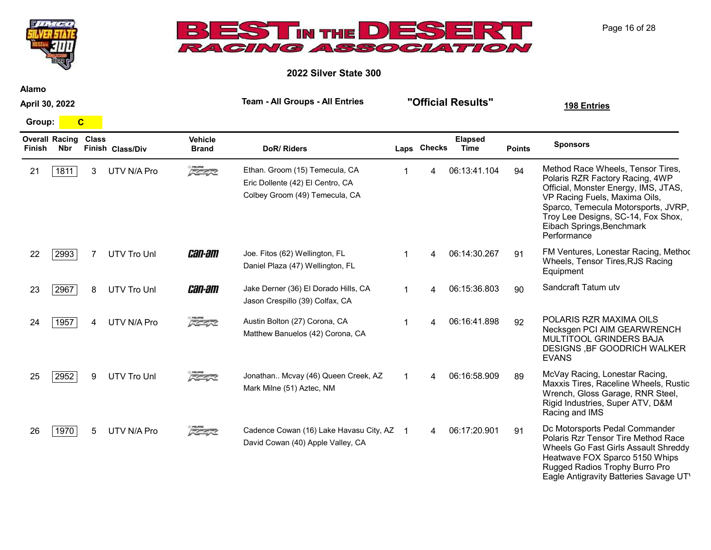

2022 Silver State 300

Alamo

April 30, 2022

Group: C

**THUGH** 

| <b>Finish</b> | <b>Overall Racing</b><br><b>Nbr</b> | <b>Class</b> | Finish Class/Div | <b>Vehicle</b><br><b>Brand</b> | <b>DoR/Riders</b>                                                                                    |                | Laps Checks | <b>Elapsed</b><br>Time | <b>Points</b> | <b>Sponsors</b>                                                                                                                                                                                                                                                        |
|---------------|-------------------------------------|--------------|------------------|--------------------------------|------------------------------------------------------------------------------------------------------|----------------|-------------|------------------------|---------------|------------------------------------------------------------------------------------------------------------------------------------------------------------------------------------------------------------------------------------------------------------------------|
| 21            | 1811                                | 3            | UTV N/A Pro      | 反革命                            | Ethan. Groom (15) Temecula, CA<br>Eric Dollente (42) El Centro, CA<br>Colbey Groom (49) Temecula, CA |                |             | 06:13:41.104           | 94            | Method Race Wheels, Tensor Tires,<br>Polaris RZR Factory Racing, 4WP<br>Official, Monster Energy, IMS, JTAS,<br>VP Racing Fuels, Maxima Oils,<br>Sparco, Temecula Motorsports, JVRP,<br>Troy Lee Designs, SC-14, Fox Shox,<br>Eibach Springs, Benchmark<br>Performance |
| 22            | 2993                                |              | UTV Tro Unl      | <i>can-am</i>                  | Joe. Fitos (62) Wellington, FL<br>Daniel Plaza (47) Wellington, FL                                   | 1              | 4           | 06:14:30.267           | 91            | FM Ventures, Lonestar Racing, Method<br>Wheels, Tensor Tires, RJS Racing<br>Equipment                                                                                                                                                                                  |
| 23            | 2967                                | 8            | UTV Tro Unl      | <i>can-am</i>                  | Jake Derner (36) El Dorado Hills, CA<br>Jason Crespillo (39) Colfax, CA                              | $\mathbf{1}$   | 4           | 06:15:36.803           | 90            | Sandcraft Tatum utv                                                                                                                                                                                                                                                    |
| 24            | 1957                                | 4            | UTV N/A Pro      | FE472                          | Austin Bolton (27) Corona, CA<br>Matthew Banuelos (42) Corona, CA                                    | 1              |             | 06:16:41.898           | 92            | POLARIS RZR MAXIMA OILS<br>Necksgen PCI AIM GEARWRENCH<br>MULTITOOL GRINDERS BAJA<br>DESIGNS, BF GOODRICH WALKER<br><b>EVANS</b>                                                                                                                                       |
| 25            | 2952                                | 9            | UTV Tro Unl      | 反革命                            | Jonathan Mcvay (46) Queen Creek, AZ<br>Mark Milne (51) Aztec, NM                                     | $\mathbf{1}$   | Δ           | 06:16:58.909           | 89            | McVay Racing, Lonestar Racing,<br>Maxxis Tires, Raceline Wheels, Rustic<br>Wrench, Gloss Garage, RNR Steel,<br>Rigid Industries, Super ATV, D&M<br>Racing and IMS                                                                                                      |
| 26            | 1970                                | 5            | UTV N/A Pro      | 反生物                            | Cadence Cowan (16) Lake Havasu City, AZ<br>David Cowan (40) Apple Valley, CA                         | $\overline{1}$ | 4           | 06:17:20.901           | 91            | Dc Motorsports Pedal Commander<br>Polaris Rzr Tensor Tire Method Race<br>Wheels Go Fast Girls Assault Shreddy<br>Heatwave FOX Sparco 5150 Whips<br>Rugged Radios Trophy Burro Pro<br>Eagle Antigravity Batteries Savage UT'                                            |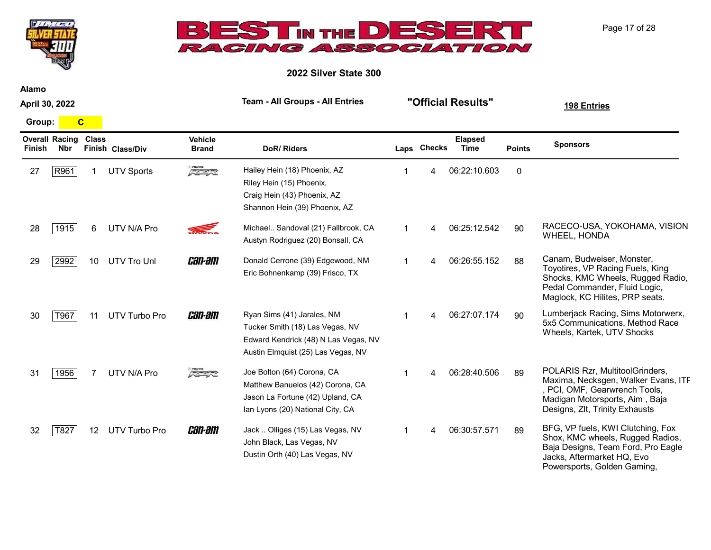



2022 Silver State 300

Alamo

April 30, 2022

Group: C

| Finish | <b>Overall Racing</b><br><b>Nbr</b> | <b>Class</b> | Finish Class/Div     | <b>Vehicle</b><br><b>Brand</b> | DoR/Riders                                                                                                                                  |                | Laps Checks | <b>Elapsed</b><br>Time | <b>Points</b> | <b>Sponsors</b>                                                                                                                                                             |
|--------|-------------------------------------|--------------|----------------------|--------------------------------|---------------------------------------------------------------------------------------------------------------------------------------------|----------------|-------------|------------------------|---------------|-----------------------------------------------------------------------------------------------------------------------------------------------------------------------------|
| 27     | R961                                |              | <b>UTV Sports</b>    | 7/7                            | Hailey Hein (18) Phoenix, AZ<br>Riley Hein (15) Phoenix,<br>Craig Hein (43) Phoenix, AZ<br>Shannon Hein (39) Phoenix, AZ                    |                |             | 06:22:10.603           | $\Omega$      |                                                                                                                                                                             |
| 28     | 1915                                | 6            | UTV N/A Pro          |                                | Michael Sandoval (21) Fallbrook, CA<br>Austyn Rodriguez (20) Bonsall, CA                                                                    |                | Δ           | 06:25:12.542           | 90            | RACECO-USA, YOKOHAMA, VISION<br>WHEEL, HONDA                                                                                                                                |
| 29     | 2992                                | 10           | UTV Tro Unl          | <i>can-am</i>                  | Donald Cerrone (39) Edgewood, NM<br>Eric Bohnenkamp (39) Frisco, TX                                                                         |                |             | 06:26:55.152           | 88            | Canam, Budweiser, Monster,<br>Toyotires, VP Racing Fuels, King<br>Shocks, KMC Wheels, Rugged Radio,<br>Pedal Commander, Fluid Logic,<br>Maglock, KC Hilites, PRP seats.     |
| 30     | T967                                | 11           | UTV Turbo Pro        | <i>can-am</i>                  | Ryan Sims (41) Jarales, NM<br>Tucker Smith (18) Las Vegas, NV<br>Edward Kendrick (48) N Las Vegas, NV<br>Austin Elmquist (25) Las Vegas, NV |                |             | 06:27:07.174           | 90            | Lumberjack Racing, Sims Motorwerx,<br>5x5 Communications, Method Race<br>Wheels, Kartek, UTV Shocks                                                                         |
| 31     | 1956                                |              | UTV N/A Pro          | 大石灰                            | Joe Bolton (64) Corona, CA<br>Matthew Banuelos (42) Corona, CA<br>Jason La Fortune (42) Upland, CA<br>Ian Lyons (20) National City, CA      |                |             | 06:28:40.506           | 89            | POLARIS Rzr, MultitoolGrinders,<br>Maxima, Necksgen, Walker Evans, ITF<br>, PCI, OMF, Gearwrench Tools,<br>Madigan Motorsports, Aim, Baja<br>Designs, Zlt, Trinity Exhausts |
| 32     | T827                                | $12 \,$      | <b>UTV Turbo Pro</b> | <i>can-am</i>                  | Jack  Olliges (15) Las Vegas, NV<br>John Black, Las Vegas, NV<br>Dustin Orth (40) Las Vegas, NV                                             | $\overline{1}$ | 4           | 06:30:57.571           | 89            | BFG, VP fuels, KWI Clutching, Fox<br>Shox, KMC wheels, Rugged Radios,<br>Baja Designs, Team Ford, Pro Eagle<br>Jacks, Aftermarket HQ, Evo<br>Powersports, Golden Gaming,    |

Page 17 of 28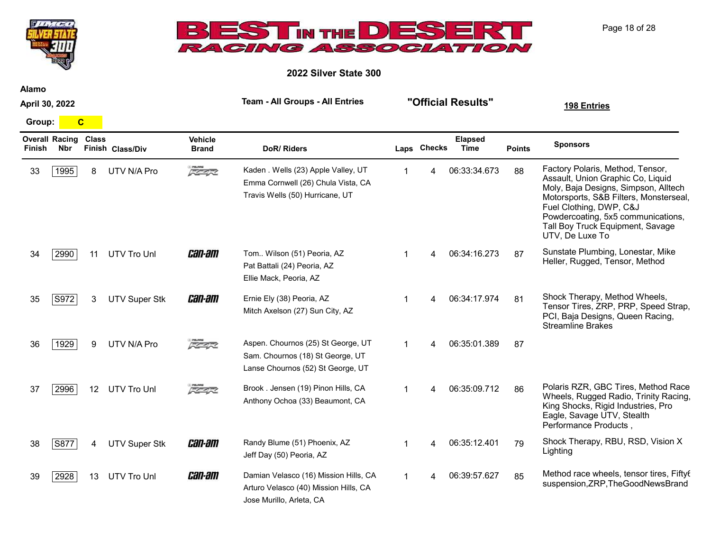

2022 Silver State 300

April 30, 2022

Group: C

 $H/T$ 

| Finish | <b>Overall Racing</b><br><b>Nbr</b> | <b>Class</b> | Finish Class/Div     | <b>Vehicle</b><br><b>Brand</b> | <b>DoR/Riders</b>                                                                                            |              | Laps Checks | <b>Elapsed</b><br>Time | <b>Points</b> | <b>Sponsors</b>                                                                                                                                                                                                                                                                 |
|--------|-------------------------------------|--------------|----------------------|--------------------------------|--------------------------------------------------------------------------------------------------------------|--------------|-------------|------------------------|---------------|---------------------------------------------------------------------------------------------------------------------------------------------------------------------------------------------------------------------------------------------------------------------------------|
| 33     | 1995                                | 8            | UTV N/A Pro          | 200.000                        | Kaden . Wells (23) Apple Valley, UT<br>Emma Cornwell (26) Chula Vista, CA<br>Travis Wells (50) Hurricane, UT |              | 4           | 06:33:34.673           | 88            | Factory Polaris, Method, Tensor,<br>Assault, Union Graphic Co, Liquid<br>Moly, Baja Designs, Simpson, Alltech<br>Motorsports, S&B Filters, Monsterseal,<br>Fuel Clothing, DWP, C&J<br>Powdercoating, 5x5 communications,<br>Tall Boy Truck Equipment, Savage<br>UTV, De Luxe To |
| 34     | 2990                                | 11           | <b>UTV Tro Unl</b>   | <i>can-am</i>                  | Tom Wilson (51) Peoria, AZ<br>Pat Battali (24) Peoria, AZ<br>Ellie Mack, Peoria, AZ                          |              |             | 06:34:16.273           | 87            | Sunstate Plumbing, Lonestar, Mike<br>Heller, Rugged, Tensor, Method                                                                                                                                                                                                             |
| 35     | S972                                | 3.           | <b>UTV Super Stk</b> | <i>can-am</i>                  | Ernie Ely (38) Peoria, AZ<br>Mitch Axelson (27) Sun City, AZ                                                 | 1            | Δ           | 06:34:17.974           | 81            | Shock Therapy, Method Wheels,<br>Tensor Tires, ZRP, PRP, Speed Strap,<br>PCI, Baja Designs, Queen Racing,<br><b>Streamline Brakes</b>                                                                                                                                           |
| 36     | 1929                                | 9            | UTV N/A Pro          | <i><b>REAR</b></i>             | Aspen. Chournos (25) St George, UT<br>Sam. Chournos (18) St George, UT<br>Lanse Chournos (52) St George, UT  |              | 4           | 06:35:01.389           | 87            |                                                                                                                                                                                                                                                                                 |
| 37     | 2996                                |              | 12 UTV Tro Unl       | 反革命                            | Brook. Jensen (19) Pinon Hills, CA<br>Anthony Ochoa (33) Beaumont, CA                                        | $\mathbf{1}$ | Δ           | 06:35:09.712           | 86            | Polaris RZR, GBC Tires, Method Race<br>Wheels, Rugged Radio, Trinity Racing,<br>King Shocks, Rigid Industries, Pro<br>Eagle, Savage UTV, Stealth<br>Performance Products,                                                                                                       |
| 38     | S877                                | 4            | <b>UTV Super Stk</b> | <i>can-am</i>                  | Randy Blume (51) Phoenix, AZ<br>Jeff Day (50) Peoria, AZ                                                     |              |             | 06:35:12.401           | 79            | Shock Therapy, RBU, RSD, Vision X<br>Lighting                                                                                                                                                                                                                                   |
| 39     | 2928                                | 13           | UTV Tro Unl          | <i>can-am</i>                  | Damian Velasco (16) Mission Hills, CA<br>Arturo Velasco (40) Mission Hills, CA<br>Jose Murillo, Arleta, CA   | 1            | 4           | 06:39:57.627           | 85            | Method race wheels, tensor tires, Fiftyt<br>suspension, ZRP, The GoodNews Brand                                                                                                                                                                                                 |

Alamo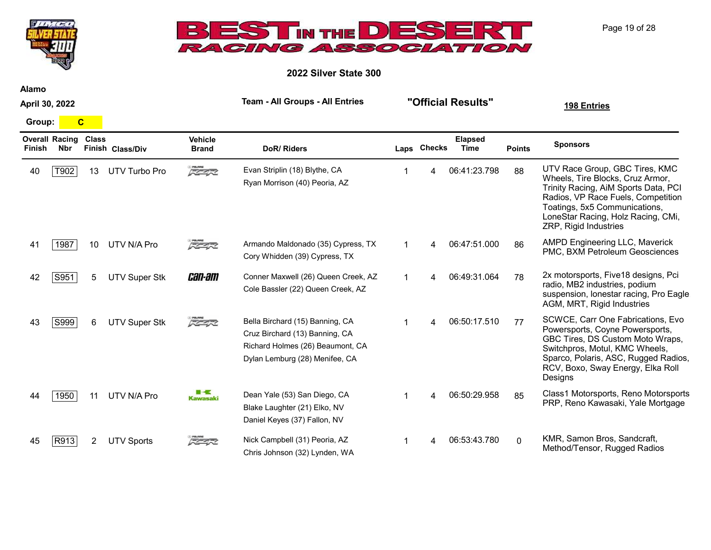



2022 Silver State 300

Alamo

April 30, 2022

Group: C

| Finish | <b>Overall Racing</b><br><b>Nbr</b> | <b>Class</b>    | Finish Class/Div     | <b>Vehicle</b><br><b>Brand</b> | <b>DoR/Riders</b>                                                                                                                       | Laps Checks | <b>Elapsed</b><br>Time | <b>Points</b> | <b>Sponsors</b>                                                                                                                                                                                                                                  |
|--------|-------------------------------------|-----------------|----------------------|--------------------------------|-----------------------------------------------------------------------------------------------------------------------------------------|-------------|------------------------|---------------|--------------------------------------------------------------------------------------------------------------------------------------------------------------------------------------------------------------------------------------------------|
| 40     | T902                                | 13              | UTV Turbo Pro        | 医学家                            | Evan Striplin (18) Blythe, CA<br>Ryan Morrison (40) Peoria, AZ                                                                          |             | 06:41:23.798           | 88            | UTV Race Group, GBC Tires, KMC<br>Wheels, Tire Blocks, Cruz Armor,<br>Trinity Racing, AiM Sports Data, PCI<br>Radios, VP Race Fuels, Competition<br>Toatings, 5x5 Communications,<br>LoneStar Racing, Holz Racing, CMi,<br>ZRP, Rigid Industries |
| 41     | 1987                                | 10 <sup>°</sup> | UTV N/A Pro          | 医生长                            | Armando Maldonado (35) Cypress, TX<br>Cory Whidden (39) Cypress, TX                                                                     | 4           | 06:47:51.000           | 86            | AMPD Engineering LLC, Maverick<br>PMC, BXM Petroleum Geosciences                                                                                                                                                                                 |
| 42     | S951                                | 5               | <b>UTV Super Stk</b> | <i>can-am</i>                  | Conner Maxwell (26) Queen Creek, AZ<br>Cole Bassler (22) Queen Creek, AZ                                                                | 4           | 06:49:31.064           | 78            | 2x motorsports, Five 18 designs, Pci<br>radio, MB2 industries, podium<br>suspension, lonestar racing, Pro Eagle<br>AGM, MRT, Rigid Industries                                                                                                    |
| 43     | S999                                | 6               | <b>UTV Super Stk</b> | 反革命                            | Bella Birchard (15) Banning, CA<br>Cruz Birchard (13) Banning, CA<br>Richard Holmes (26) Beaumont, CA<br>Dylan Lemburg (28) Menifee, CA | 4           | 06:50:17.510           | 77            | SCWCE, Carr One Fabrications, Evo<br>Powersports, Coyne Powersports,<br>GBC Tires, DS Custom Moto Wraps,<br>Switchpros, Motul, KMC Wheels,<br>Sparco, Polaris, ASC, Rugged Radios,<br>RCV, Boxo, Sway Energy, Elka Roll<br>Designs               |
| 44     | 1950                                | 11              | UTV N/A Pro          | <b>Kawasaki</b>                | Dean Yale (53) San Diego, CA<br>Blake Laughter (21) Elko, NV<br>Daniel Keyes (37) Fallon, NV                                            |             | 06:50:29.958           | 85            | Class1 Motorsports, Reno Motorsports<br>PRP, Reno Kawasaki, Yale Mortgage                                                                                                                                                                        |
| 45     | R913                                | 2.              | <b>UTV Sports</b>    | FE454                          | Nick Campbell (31) Peoria, AZ<br>Chris Johnson (32) Lynden, WA                                                                          |             | 06:53:43.780           | $\Omega$      | KMR, Samon Bros, Sandcraft,<br>Method/Tensor, Rugged Radios                                                                                                                                                                                      |

Page 19 of 28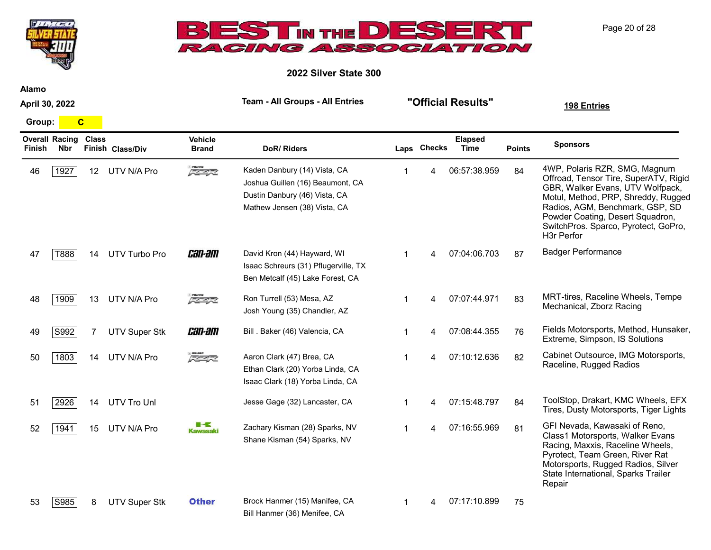



2022 Silver State 300

Alamo

April 30, 2022

Group: C

| Finish | <b>Overall Racing</b><br><b>Nbr</b> | <b>Class</b>    | Finish Class/Div     | <b>Vehicle</b><br><b>Brand</b>                  | DoR/Riders                                                                                                                        |   | Laps Checks | <b>Elapsed</b><br>Time | <b>Points</b> | <b>Sponsors</b>                                                                                                                                                                                                                                                                |
|--------|-------------------------------------|-----------------|----------------------|-------------------------------------------------|-----------------------------------------------------------------------------------------------------------------------------------|---|-------------|------------------------|---------------|--------------------------------------------------------------------------------------------------------------------------------------------------------------------------------------------------------------------------------------------------------------------------------|
| 46     | 1927                                | 12 <sup>2</sup> | UTV N/A Pro          | $z$ polines                                     | Kaden Danbury (14) Vista, CA<br>Joshua Guillen (16) Beaumont, CA<br>Dustin Danbury (46) Vista, CA<br>Mathew Jensen (38) Vista, CA |   |             | 06:57:38.959           | 84            | 4WP, Polaris RZR, SMG, Magnum<br>Offroad, Tensor Tire, SuperATV, Rigid<br>GBR, Walker Evans, UTV Wolfpack,<br>Motul, Method, PRP, Shreddy, Rugged<br>Radios, AGM, Benchmark, GSP, SD<br>Powder Coating, Desert Squadron,<br>SwitchPros. Sparco, Pyrotect, GoPro,<br>H3r Perfor |
| 47     | T888                                | 14              | UTV Turbo Pro        | <i>can-am</i>                                   | David Kron (44) Hayward, WI<br>Isaac Schreurs (31) Pflugerville, TX<br>Ben Metcalf (45) Lake Forest, CA                           | 1 |             | 07:04:06.703           | 87            | <b>Badger Performance</b>                                                                                                                                                                                                                                                      |
| 48     | 1909                                | 13              | UTV N/A Pro          | 医生长                                             | Ron Turrell (53) Mesa, AZ<br>Josh Young (35) Chandler, AZ                                                                         |   |             | 07:07:44.971           | 83            | MRT-tires, Raceline Wheels, Tempe<br>Mechanical, Zborz Racing                                                                                                                                                                                                                  |
| 49     | S992                                | 7               | <b>UTV Super Stk</b> | <i>can-am</i>                                   | Bill . Baker (46) Valencia, CA                                                                                                    |   |             | 07:08:44.355           | 76            | Fields Motorsports, Method, Hunsaker,<br>Extreme, Simpson, IS Solutions                                                                                                                                                                                                        |
| 50     | 1803                                | 14              | UTV N/A Pro          | $\sqrt{2}$                                      | Aaron Clark (47) Brea, CA<br>Ethan Clark (20) Yorba Linda, CA<br>Isaac Clark (18) Yorba Linda, CA                                 | 1 |             | 07:10:12.636           | 82            | Cabinet Outsource, IMG Motorsports,<br>Raceline, Rugged Radios                                                                                                                                                                                                                 |
| 51     | 2926                                | 14              | <b>UTV Tro Unl</b>   |                                                 | Jesse Gage (32) Lancaster, CA                                                                                                     |   |             | 07:15:48.797           | 84            | ToolStop, Drakart, KMC Wheels, EFX<br>Tires, Dusty Motorsports, Tiger Lights                                                                                                                                                                                                   |
| 52     | 1941                                | 15              | UTV N/A Pro          | $\blacksquare\preceq\preceq$<br><b>Kawasaki</b> | Zachary Kisman (28) Sparks, NV<br>Shane Kisman (54) Sparks, NV                                                                    |   |             | 07:16:55.969           | 81            | GFI Nevada, Kawasaki of Reno,<br>Class1 Motorsports, Walker Evans<br>Racing, Maxxis, Raceline Wheels,<br>Pyrotect, Team Green, River Rat<br>Motorsports, Rugged Radios, Silver<br>State International, Sparks Trailer<br>Repair                                                |
| 53     | S985                                | 8               | <b>UTV Super Stk</b> | <b>Other</b>                                    | Brock Hanmer (15) Manifee, CA<br>Bill Hanmer (36) Menifee, CA                                                                     |   |             | 07:17:10.899           | 75            |                                                                                                                                                                                                                                                                                |

Page 20 of 28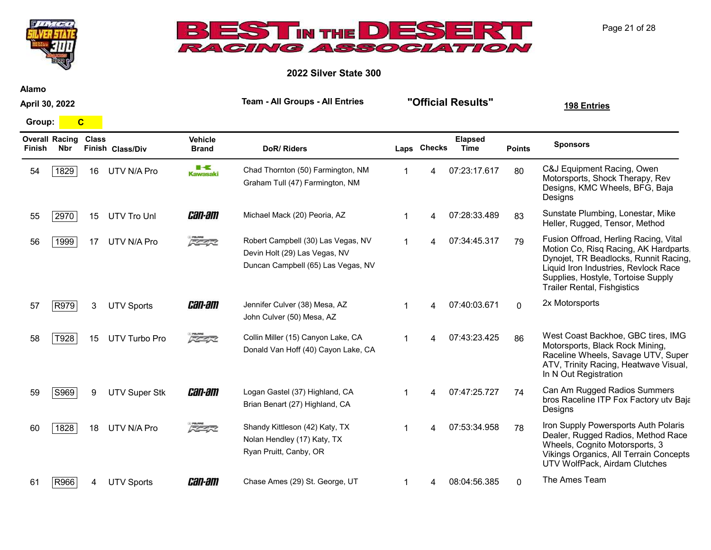



2022 Silver State 300

Alamo

April 30, 2022

Group: <mark>C</mark>

| Finish | <b>Overall Racing</b><br><b>Nbr</b> | <b>Class</b> | Finish Class/Div     | <b>Vehicle</b><br><b>Brand</b> | <b>DoR/Riders</b>                                                                                         |    | Laps Checks | <b>Elapsed</b><br>Time | <b>Points</b> | <b>Sponsors</b>                                                                                                                                                                                                                            |
|--------|-------------------------------------|--------------|----------------------|--------------------------------|-----------------------------------------------------------------------------------------------------------|----|-------------|------------------------|---------------|--------------------------------------------------------------------------------------------------------------------------------------------------------------------------------------------------------------------------------------------|
| 54     | 1829                                | 16           | UTV N/A Pro          | ■−€<br>Kawasaki                | Chad Thornton (50) Farmington, NM<br>Graham Tull (47) Farmington, NM                                      |    | 4           | 07:23:17.617           | 80            | C&J Equipment Racing, Owen<br>Motorsports, Shock Therapy, Rev<br>Designs, KMC Wheels, BFG, Baja<br>Designs                                                                                                                                 |
| 55     | 2970                                | 15           | <b>UTV Tro Unl</b>   | <i>can-am</i>                  | Michael Mack (20) Peoria, AZ                                                                              |    | Δ           | 07:28:33.489           | 83            | Sunstate Plumbing, Lonestar, Mike<br>Heller, Rugged, Tensor, Method                                                                                                                                                                        |
| 56     | 1999                                | 17           | UTV N/A Pro          | <b>スクイズ</b>                    | Robert Campbell (30) Las Vegas, NV<br>Devin Holt (29) Las Vegas, NV<br>Duncan Campbell (65) Las Vegas, NV | -1 | 4           | 07:34:45.317           | 79            | Fusion Offroad, Herling Racing, Vital<br>Motion Co, Risq Racing, AK Hardparts<br>Dynojet, TR Beadlocks, Runnit Racing,<br>Liquid Iron Industries, Revlock Race<br>Supplies, Hostyle, Tortoise Supply<br><b>Trailer Rental, Fishgistics</b> |
| 57     | R979                                | 3            | <b>UTV Sports</b>    | <i>can-am</i>                  | Jennifer Culver (38) Mesa, AZ<br>John Culver (50) Mesa, AZ                                                |    |             | 07:40:03.671           | $\Omega$      | 2x Motorsports                                                                                                                                                                                                                             |
| 58     | T928                                | 15           | UTV Turbo Pro        | 医生长                            | Collin Miller (15) Canyon Lake, CA<br>Donald Van Hoff (40) Cayon Lake, CA                                 |    | Δ           | 07:43:23.425           | 86            | West Coast Backhoe, GBC tires, IMG<br>Motorsports, Black Rock Mining,<br>Raceline Wheels, Savage UTV, Super<br>ATV, Trinity Racing, Heatwave Visual,<br>In N Out Registration                                                              |
| 59     | S969                                | 9            | <b>UTV Super Stk</b> | <i>can-am</i>                  | Logan Gastel (37) Highland, CA<br>Brian Benart (27) Highland, CA                                          |    | Δ           | 07:47:25.727           | 74            | Can Am Rugged Radios Summers<br>bros Raceline ITP Fox Factory utv Baja<br>Designs                                                                                                                                                          |
| 60     | 1828                                | 18           | UTV N/A Pro          | スクイズ                           | Shandy Kittleson (42) Katy, TX<br>Nolan Hendley (17) Katy, TX<br>Ryan Pruitt, Canby, OR                   | -1 | Δ           | 07:53:34.958           | 78            | Iron Supply Powersports Auth Polaris<br>Dealer, Rugged Radios, Method Race<br>Wheels, Cognito Motorsports, 3<br>Vikings Organics, All Terrain Concepts<br>UTV WolfPack, Airdam Clutches                                                    |
| 61     | R966                                |              | <b>UTV Sports</b>    | <i>can-am</i>                  | Chase Ames (29) St. George, UT                                                                            | -1 | 4           | 08:04:56.385           | $\mathbf{0}$  | The Ames Team                                                                                                                                                                                                                              |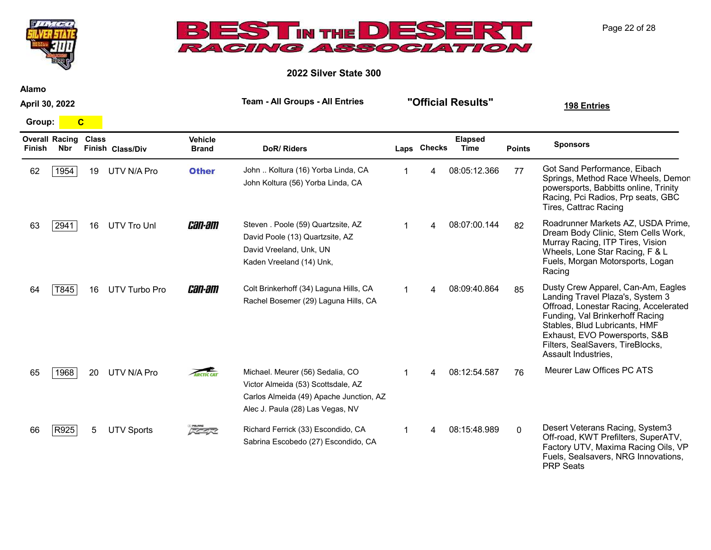



2022 Silver State 300

Alamo

April 30, 2022

Group: C

| Finish | <b>Overall Racing</b><br><b>Nbr</b> | <b>Class</b> | Finish Class/Div  | <b>Vehicle</b><br><b>Brand</b> | DoR/Riders                                                                                                                                            |   | Laps Checks | <b>Elapsed</b><br><b>Time</b> | <b>Points</b> | <b>Sponsors</b>                                                                                                                                                                                                                                                                 |
|--------|-------------------------------------|--------------|-------------------|--------------------------------|-------------------------------------------------------------------------------------------------------------------------------------------------------|---|-------------|-------------------------------|---------------|---------------------------------------------------------------------------------------------------------------------------------------------------------------------------------------------------------------------------------------------------------------------------------|
| 62     | 1954                                | 19           | UTV N/A Pro       | <b>Other</b>                   | John  Koltura (16) Yorba Linda, CA<br>John Koltura (56) Yorba Linda, CA                                                                               |   | 4           | 08:05:12.366                  | 77            | Got Sand Performance, Eibach<br>Springs, Method Race Wheels, Demor<br>powersports, Babbitts online, Trinity<br>Racing, Pci Radios, Prp seats, GBC<br>Tires, Cattrac Racing                                                                                                      |
| 63     | 2941                                | 16           | UTV Tro Unl       | <i>can-am</i>                  | Steven . Poole (59) Quartzsite, AZ<br>David Poole (13) Quartzsite, AZ<br>David Vreeland, Unk, UN<br>Kaden Vreeland (14) Unk,                          |   | 4           | 08:07:00.144                  | 82            | Roadrunner Markets AZ, USDA Prime,<br>Dream Body Clinic, Stem Cells Work,<br>Murray Racing, ITP Tires, Vision<br>Wheels, Lone Star Racing, F & L<br>Fuels, Morgan Motorsports, Logan<br>Racing                                                                                  |
| 64     | T845                                | 16           | UTV Turbo Pro     | <i>can-am</i>                  | Colt Brinkerhoff (34) Laguna Hills, CA<br>Rachel Bosemer (29) Laguna Hills, CA                                                                        |   | 4           | 08:09:40.864                  | 85            | Dusty Crew Apparel, Can-Am, Eagles<br>Landing Travel Plaza's, System 3<br>Offroad, Lonestar Racing, Accelerated<br>Funding, Val Brinkerhoff Racing<br>Stables, Blud Lubricants, HMF<br>Exhaust, EVO Powersports, S&B<br>Filters, SealSavers, TireBlocks,<br>Assault Industries, |
| 65     | 1968                                | 20           | UTV N/A Pro       | <b>ARCTIC CAT</b>              | Michael. Meurer (56) Sedalia, CO<br>Victor Almeida (53) Scottsdale, AZ<br>Carlos Almeida (49) Apache Junction, AZ<br>Alec J. Paula (28) Las Vegas, NV |   | 4           | 08:12:54.587                  | 76            | Meurer Law Offices PC ATS                                                                                                                                                                                                                                                       |
| 66     | R925                                | 5.           | <b>UTV Sports</b> | 55450                          | Richard Ferrick (33) Escondido, CA<br>Sabrina Escobedo (27) Escondido, CA                                                                             | 1 | 4           | 08:15:48.989                  | $\mathbf{0}$  | Desert Veterans Racing, System3<br>Off-road, KWT Prefilters, SuperATV,<br>Factory UTV, Maxima Racing Oils, VP<br>Fuels, Sealsavers, NRG Innovations,<br><b>PRP Seats</b>                                                                                                        |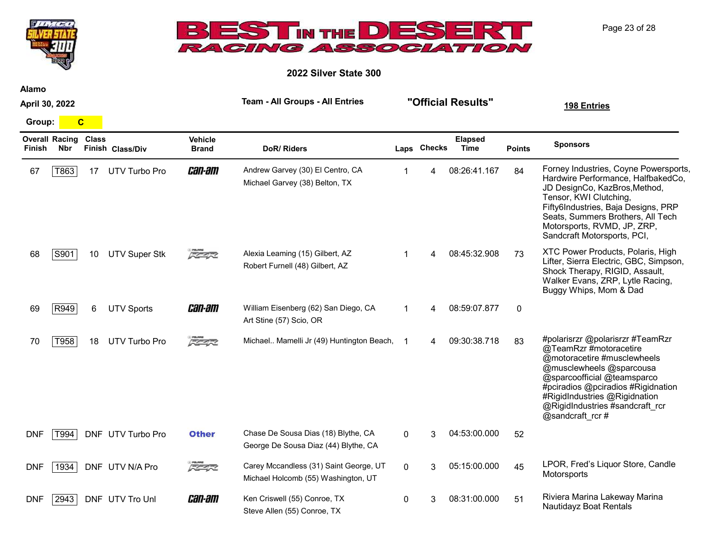|                |                                     |                         |                      |                                | ACING ASSOCIATION                                                             |   |             |                        |               |                                                                                                                                                                                                                                                                                    |
|----------------|-------------------------------------|-------------------------|----------------------|--------------------------------|-------------------------------------------------------------------------------|---|-------------|------------------------|---------------|------------------------------------------------------------------------------------------------------------------------------------------------------------------------------------------------------------------------------------------------------------------------------------|
|                |                                     |                         |                      |                                | 2022 Silver State 300                                                         |   |             |                        |               |                                                                                                                                                                                                                                                                                    |
| <b>Alamo</b>   |                                     |                         |                      |                                |                                                                               |   |             |                        |               |                                                                                                                                                                                                                                                                                    |
| April 30, 2022 |                                     |                         |                      |                                | <b>Team - All Groups - All Entries</b>                                        |   |             | "Official Results"     |               | 198 Entries                                                                                                                                                                                                                                                                        |
| Group:         |                                     | $\overline{\mathbf{C}}$ |                      |                                |                                                                               |   |             |                        |               |                                                                                                                                                                                                                                                                                    |
| Finish         | <b>Overall Racing</b><br><b>Nbr</b> | <b>Class</b>            | Finish Class/Div     | <b>Vehicle</b><br><b>Brand</b> | DoR/Riders                                                                    |   | Laps Checks | <b>Elapsed</b><br>Time | <b>Points</b> | <b>Sponsors</b>                                                                                                                                                                                                                                                                    |
| 67             | T863                                | 17                      | UTV Turbo Pro        | <i>can-am</i>                  | Andrew Garvey (30) El Centro, CA<br>Michael Garvey (38) Belton, TX            | 1 |             | 08:26:41.167           | 84            | Forney Industries, Coyne Powersports,<br>Hardwire Performance, HalfbakedCo,<br>JD DesignCo, KazBros, Method,<br>Tensor, KWI Clutching,<br>Fifty6Industries, Baja Designs, PRP<br>Seats, Summers Brothers, All Tech<br>Motorsports, RVMD, JP, ZRP,<br>Sandcraft Motorsports, PCI,   |
| 68             | S901                                | 10                      | <b>UTV Super Stk</b> | 医学家                            | Alexia Leaming (15) Gilbert, AZ<br>Robert Furnell (48) Gilbert, AZ            | 1 |             | 08:45:32.908           | 73            | XTC Power Products, Polaris, High<br>Lifter, Sierra Electric, GBC, Simpson,<br>Shock Therapy, RIGID, Assault,<br>Walker Evans, ZRP, Lytle Racing,<br>Buggy Whips, Mom & Dad                                                                                                        |
| 69             | R949                                | 6                       | <b>UTV Sports</b>    | <i>can-am</i>                  | William Eisenberg (62) San Diego, CA<br>Art Stine (57) Scio, OR               |   |             | 08:59:07.877           | $\mathbf 0$   |                                                                                                                                                                                                                                                                                    |
| 70             | T958                                | 18                      | <b>UTV Turbo Pro</b> | 反革命                            | Michael Mamelli Jr (49) Huntington Beach, 1                                   |   |             | 09:30:38.718           | 83            | #polarisrzr @polarisrzr #TeamRzr<br>@TeamRzr #motoracetire<br>@motoracetire #musclewheels<br>@musclewheels @sparcousa<br>@sparcoofficial @teamsparco<br>#pciradios @pciradios #Rigidnation<br>#RigidIndustries @Rigidnation<br>@RigidIndustries #sandcraft_rcr<br>@sandcraft rcr # |
| <b>DNF</b>     | T994                                |                         | DNF UTV Turbo Pro    | <b>Other</b>                   | Chase De Sousa Dias (18) Blythe, CA<br>George De Sousa Diaz (44) Blythe, CA   | 0 | 3           | 04:53:00.000           | 52            |                                                                                                                                                                                                                                                                                    |
| <b>DNF</b>     | 1934                                |                         | DNF UTV N/A Pro      | 医生长                            | Carey Mccandless (31) Saint George, UT<br>Michael Holcomb (55) Washington, UT | 0 | 3           | 05:15:00.000           | 45            | LPOR, Fred's Liquor Store, Candle<br>Motorsports                                                                                                                                                                                                                                   |
| <b>DNF</b>     | 2943                                |                         | DNF UTV Tro Unl      | <i>can-am</i>                  | Ken Criswell (55) Conroe, TX<br>Steve Allen (55) Conroe, TX                   | 0 | 3           | 08:31:00.000           | 51            | Riviera Marina Lakeway Marina<br>Nautidayz Boat Rentals                                                                                                                                                                                                                            |

**BESTIN THE DESE** 

 $J/L$   $CE$ 

Page 23 of 28

 $P<sup>2</sup>$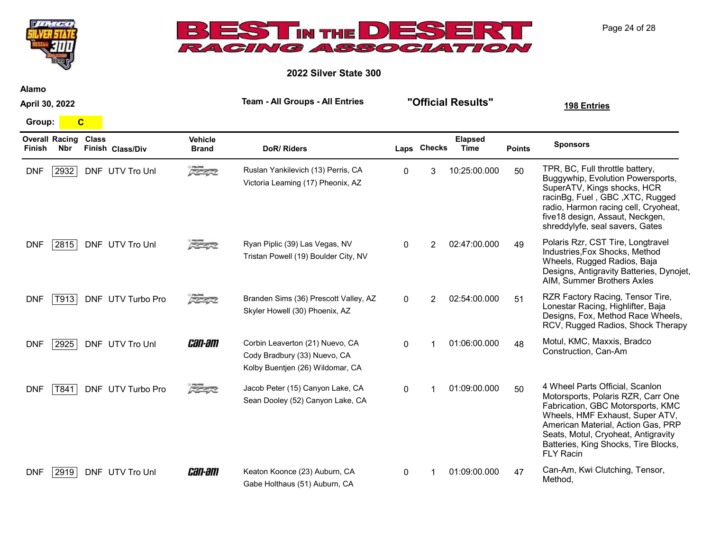

2022 Silver State 300

Alamo

April 30, 2022

Group: <mark>C</mark>

**UNITED** 

| <b>Overall Racing</b><br><b>Nbr</b><br>Finish | <b>Class</b><br>Finish Class/Div | <b>Vehicle</b><br><b>Brand</b> | DoR/Riders                                                                                          |              | Laps Checks    | <b>Elapsed</b><br><b>Time</b> | <b>Points</b> | <b>Sponsors</b>                                                                                                                                                                                                                                                                        |
|-----------------------------------------------|----------------------------------|--------------------------------|-----------------------------------------------------------------------------------------------------|--------------|----------------|-------------------------------|---------------|----------------------------------------------------------------------------------------------------------------------------------------------------------------------------------------------------------------------------------------------------------------------------------------|
| <b>DNF</b><br>2932                            | DNF UTV Tro Unl                  | $\sqrt{2}$                     | Ruslan Yankilevich (13) Perris, CA<br>Victoria Leaming (17) Pheonix, AZ                             | $\Omega$     | 3              | 10:25:00.000                  | 50            | TPR, BC, Full throttle battery,<br>Buggywhip, Evolution Powersports,<br>SuperATV, Kings shocks, HCR<br>racinBg, Fuel, GBC, XTC, Rugged<br>radio, Harmon racing cell, Cryoheat,<br>five18 design, Assaut, Neckgen,<br>shreddylyfe, seal savers, Gates                                   |
| <b>DNF</b><br>2815                            | DNF UTV Tro Unl                  | 反革命                            | Ryan Piplic (39) Las Vegas, NV<br>Tristan Powell (19) Boulder City, NV                              | $\mathbf{0}$ | $\overline{2}$ | 02:47:00.000                  | 49            | Polaris Rzr, CST Tire, Longtravel<br>Industries, Fox Shocks, Method<br>Wheels, Rugged Radios, Baja<br>Designs, Antigravity Batteries, Dynojet,<br>AIM, Summer Brothers Axles                                                                                                           |
| <b>DNF</b><br>T913                            | DNF UTV Turbo Pro                | $\sqrt{2}$                     | Branden Sims (36) Prescott Valley, AZ<br>Skyler Howell (30) Phoenix, AZ                             | $\Omega$     | 2              | 02:54:00.000                  | 51            | RZR Factory Racing, Tensor Tire,<br>Lonestar Racing, Highlifter, Baja<br>Designs, Fox, Method Race Wheels,<br>RCV, Rugged Radios, Shock Therapy                                                                                                                                        |
| <b>DNF</b><br>2925                            | DNF UTV Tro Unl                  | <i>can-am</i>                  | Corbin Leaverton (21) Nuevo, CA<br>Cody Bradbury (33) Nuevo, CA<br>Kolby Buentjen (26) Wildomar, CA | 0            |                | 01:06:00.000                  | 48            | Motul, KMC, Maxxis, Bradco<br>Construction, Can-Am                                                                                                                                                                                                                                     |
| <b>DNF</b><br>T841                            | DNF UTV Turbo Pro                | 反革起                            | Jacob Peter (15) Canyon Lake, CA<br>Sean Dooley (52) Canyon Lake, CA                                | $\Omega$     |                | 01:09:00.000                  | 50            | 4 Wheel Parts Official, Scanlon<br>Motorsports, Polaris RZR, Carr One<br>Fabrication, GBC Motorsports, KMC<br>Wheels, HMF Exhaust, Super ATV,<br>American Material, Action Gas, PRP<br>Seats, Motul, Cryoheat, Antigravity<br>Batteries, King Shocks, Tire Blocks,<br><b>FLY Racin</b> |
| <b>DNF</b><br>2919                            | DNF UTV Tro Unl                  | <i>can-am</i>                  | Keaton Koonce (23) Auburn, CA<br>Gabe Holthaus (51) Auburn, CA                                      | 0            |                | 01:09:00.000                  | 47            | Can-Am, Kwi Clutching, Tensor,<br>Method,                                                                                                                                                                                                                                              |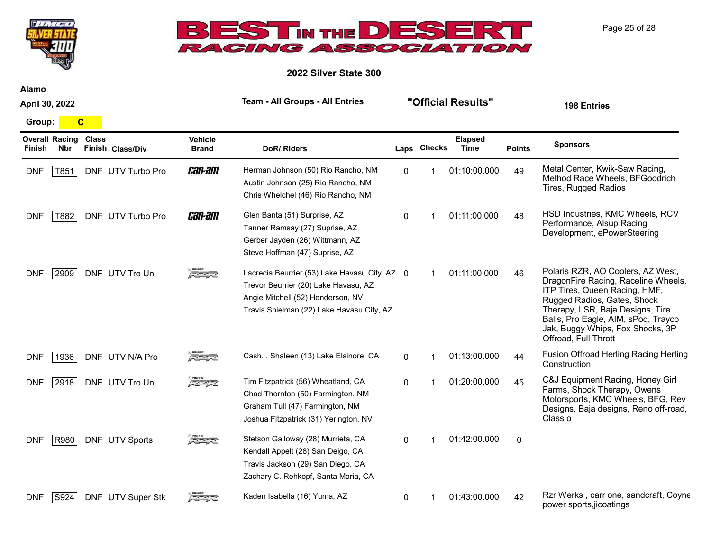



2022 Silver State 300

Alamo

April 30, 2022

Group: C

| Finish     | <b>Overall Racing</b><br>Nbr | <b>Class</b> | Finish Class/Div  | <b>Vehicle</b><br><b>Brand</b> | <b>DoR/Riders</b>                                                                                                                                                       |              | Laps Checks | <b>Elapsed</b><br>Time | <b>Points</b> | <b>Sponsors</b>                                                                                                                                                                                                                                                                 |
|------------|------------------------------|--------------|-------------------|--------------------------------|-------------------------------------------------------------------------------------------------------------------------------------------------------------------------|--------------|-------------|------------------------|---------------|---------------------------------------------------------------------------------------------------------------------------------------------------------------------------------------------------------------------------------------------------------------------------------|
| <b>DNF</b> | T851                         |              | DNF UTV Turbo Pro | <i>can-am</i>                  | Herman Johnson (50) Rio Rancho, NM<br>Austin Johnson (25) Rio Rancho, NM<br>Chris Whelchel (46) Rio Rancho, NM                                                          | $\mathbf{0}$ |             | 01:10:00.000           | 49            | Metal Center, Kwik-Saw Racing,<br>Method Race Wheels, BFGoodrich<br><b>Tires, Rugged Radios</b>                                                                                                                                                                                 |
| <b>DNF</b> | T882                         |              | DNF UTV Turbo Pro | <i>can-am</i>                  | Glen Banta (51) Surprise, AZ<br>Tanner Ramsay (27) Suprise, AZ<br>Gerber Jayden (26) Wittmann, AZ<br>Steve Hoffman (47) Suprise, AZ                                     | $\Omega$     |             | 01:11:00.000           | 48            | HSD Industries, KMC Wheels, RCV<br>Performance, Alsup Racing<br>Development, ePowerSteering                                                                                                                                                                                     |
| <b>DNF</b> | 2909                         |              | DNF UTV Tro Unl   | FEAR                           | Lacrecia Beurrier (53) Lake Havasu City, AZ 0<br>Trevor Beurrier (20) Lake Havasu, AZ<br>Angie Mitchell (52) Henderson, NV<br>Travis Spielman (22) Lake Havasu City, AZ |              |             | 01:11:00.000           | 46            | Polaris RZR, AO Coolers, AZ West,<br>DragonFire Racing, Raceline Wheels,<br>ITP Tires, Queen Racing, HMF,<br>Rugged Radios, Gates, Shock<br>Therapy, LSR, Baja Designs, Tire<br>Balls, Pro Eagle, AIM, sPod, Trayco<br>Jak, Buggy Whips, Fox Shocks, 3P<br>Offroad, Full Thrott |
| <b>DNF</b> | 1936                         |              | DNF UTV N/A Pro   | スクイズ                           | Cash. . Shaleen (13) Lake Elsinore, CA                                                                                                                                  | $\Omega$     |             | 01:13:00.000           | 44            | Fusion Offroad Herling Racing Herling<br>Construction                                                                                                                                                                                                                           |
| <b>DNF</b> | 2918                         |              | DNF UTV Tro Unl   | 反革命                            | Tim Fitzpatrick (56) Wheatland, CA<br>Chad Thornton (50) Farmington, NM<br>Graham Tull (47) Farmington, NM<br>Joshua Fitzpatrick (31) Yerington, NV                     | $\Omega$     |             | 01:20:00.000           | 45            | C&J Equipment Racing, Honey Girl<br>Farms, Shock Therapy, Owens<br>Motorsports, KMC Wheels, BFG, Rev<br>Designs, Baja designs, Reno off-road,<br>Class o                                                                                                                        |
| <b>DNF</b> | R980                         |              | DNF UTV Sports    | スクイズ                           | Stetson Galloway (28) Murrieta, CA<br>Kendall Appelt (28) San Deigo, CA<br>Travis Jackson (29) San Diego, CA<br>Zachary C. Rehkopf, Santa Maria, CA                     | $\Omega$     |             | 01:42:00.000           | $\mathbf{0}$  |                                                                                                                                                                                                                                                                                 |
| <b>DNF</b> | S924                         |              | DNF UTV Super Stk |                                | Kaden Isabella (16) Yuma, AZ                                                                                                                                            | $\Omega$     |             | 01:43:00.000           | 42            | Rzr Werks, carr one, sandcraft, Coyne<br>power sports, jicoatings                                                                                                                                                                                                               |

Page 25 of 28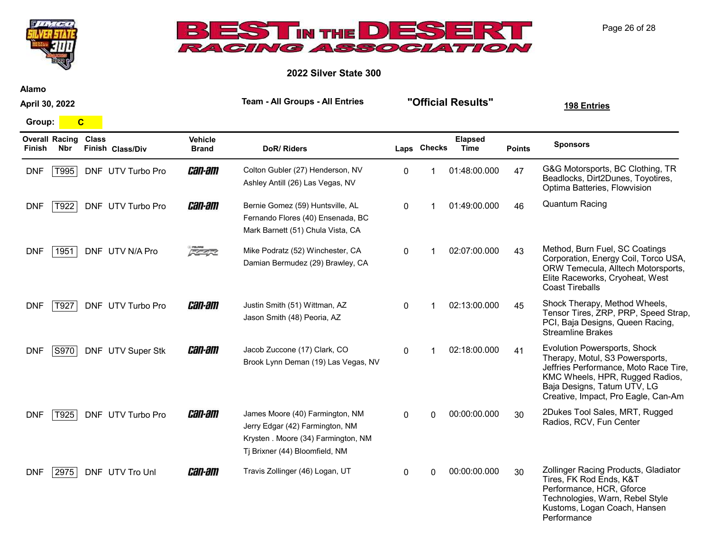



2022 Silver State 300

Alamo

April 30, 2022

Group: C

| <b>Finish</b> | <b>Overall Racing</b><br>Nbr | <b>Class</b> | Finish Class/Div  | <b>Vehicle</b><br><b>Brand</b> | DoR/Riders                                                                                                                                  |              | Laps Checks | <b>Elapsed</b><br><b>Time</b> | <b>Points</b> | <b>Sponsors</b>                                                                                                                                                                                                   |
|---------------|------------------------------|--------------|-------------------|--------------------------------|---------------------------------------------------------------------------------------------------------------------------------------------|--------------|-------------|-------------------------------|---------------|-------------------------------------------------------------------------------------------------------------------------------------------------------------------------------------------------------------------|
| <b>DNF</b>    | T995                         |              | DNF UTV Turbo Pro | <i>can-am</i>                  | Colton Gubler (27) Henderson, NV<br>Ashley Antill (26) Las Vegas, NV                                                                        | 0            |             | 01:48:00.000                  | 47            | G&G Motorsports, BC Clothing, TR<br>Beadlocks, Dirt2Dunes, Toyotires,<br>Optima Batteries, Flowvision                                                                                                             |
| <b>DNF</b>    | T922                         |              | DNF UTV Turbo Pro | <i>can-am</i>                  | Bernie Gomez (59) Huntsville, AL<br>Fernando Flores (40) Ensenada, BC<br>Mark Barnett (51) Chula Vista, CA                                  | $\Omega$     |             | 01:49:00.000                  | 46            | <b>Quantum Racing</b>                                                                                                                                                                                             |
| <b>DNF</b>    | 1951                         |              | DNF UTV N/A Pro   | 医全球                            | Mike Podratz (52) Winchester, CA<br>Damian Bermudez (29) Brawley, CA                                                                        | $\mathbf{0}$ |             | 02:07:00.000                  | 43            | Method, Burn Fuel, SC Coatings<br>Corporation, Energy Coil, Torco USA,<br>ORW Temecula, Alltech Motorsports,<br>Elite Raceworks, Cryoheat, West<br><b>Coast Tireballs</b>                                         |
| <b>DNF</b>    | T927                         |              | DNF UTV Turbo Pro | <i>can-am</i>                  | Justin Smith (51) Wittman, AZ<br>Jason Smith (48) Peoria, AZ                                                                                | 0            |             | 02:13:00.000                  | 45            | Shock Therapy, Method Wheels,<br>Tensor Tires, ZRP, PRP, Speed Strap,<br>PCI, Baja Designs, Queen Racing,<br><b>Streamline Brakes</b>                                                                             |
| <b>DNF</b>    | S970                         |              | DNF UTV Super Stk | <i>can-am</i>                  | Jacob Zuccone (17) Clark, CO<br>Brook Lynn Deman (19) Las Vegas, NV                                                                         | 0            |             | 02:18:00.000                  | 41            | Evolution Powersports, Shock<br>Therapy, Motul, S3 Powersports,<br>Jeffries Performance, Moto Race Tire,<br>KMC Wheels, HPR, Rugged Radios,<br>Baja Designs, Tatum UTV, LG<br>Creative, Impact, Pro Eagle, Can-Am |
| <b>DNF</b>    | T925                         |              | DNF UTV Turbo Pro | <i>can-am</i>                  | James Moore (40) Farmington, NM<br>Jerry Edgar (42) Farmington, NM<br>Krysten . Moore (34) Farmington, NM<br>Tj Brixner (44) Bloomfield, NM | $\mathbf{0}$ | $\Omega$    | 00:00:00.000                  | 30            | 2Dukes Tool Sales, MRT, Rugged<br>Radios, RCV, Fun Center                                                                                                                                                         |
| <b>DNF</b>    | 2975                         |              | DNF UTV Tro Unl   | <i>can-am</i>                  | Travis Zollinger (46) Logan, UT                                                                                                             | 0            | U           | 00:00:00.000                  | 30            | Zollinger Racing Products, Gladiator<br>Tires, FK Rod Ends, K&T<br>Performance, HCR, Gforce<br>Technologies, Warn, Rebel Style<br>Kustoms, Logan Coach, Hansen<br>Performance                                     |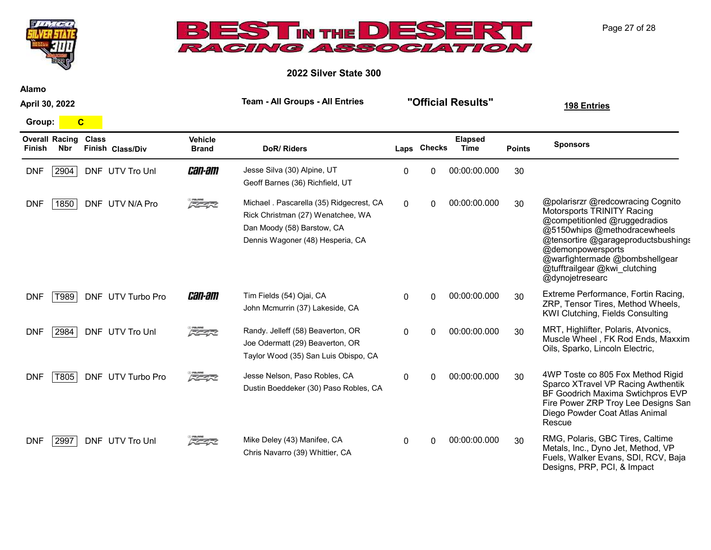



2022 Silver State 300

Alamo

April 30, 2022

Group: C

| Finish     | <b>Overall Racing</b><br><b>Nbr</b> | <b>Class</b> | Finish Class/Div  | <b>Vehicle</b><br><b>Brand</b> | <b>DoR/Riders</b>                                                                                                                               |              | Laps Checks  | <b>Elapsed</b><br><b>Time</b> | <b>Points</b> | <b>Sponsors</b>                                                                                                                                                                                                                                                                    |
|------------|-------------------------------------|--------------|-------------------|--------------------------------|-------------------------------------------------------------------------------------------------------------------------------------------------|--------------|--------------|-------------------------------|---------------|------------------------------------------------------------------------------------------------------------------------------------------------------------------------------------------------------------------------------------------------------------------------------------|
| <b>DNF</b> | 2904                                |              | DNF UTV Tro Unl   | <i>can-am</i>                  | Jesse Silva (30) Alpine, UT<br>Geoff Barnes (36) Richfield, UT                                                                                  | 0            | 0            | 00:00:00.000                  | 30            |                                                                                                                                                                                                                                                                                    |
| <b>DNF</b> | 1850                                |              | DNF UTV N/A Pro   | 大全学区                           | Michael . Pascarella (35) Ridgecrest, CA<br>Rick Christman (27) Wenatchee, WA<br>Dan Moody (58) Barstow, CA<br>Dennis Wagoner (48) Hesperia, CA | 0            | 0            | 00:00:00.000                  | 30            | @polarisrzr @redcowracing Cognito<br>Motorsports TRINITY Racing<br>@competitionled @ruggedradios<br>@5150whips @methodracewheels<br>@tensortire @garageproductsbushings<br>@demonpowersports<br>@warfightermade @bombshellgear<br>@tufftrailgear @kwi_clutching<br>@dynojetresearc |
| <b>DNF</b> | T989                                |              | DNF UTV Turbo Pro | <i>can-am</i>                  | Tim Fields (54) Ojai, CA<br>John Mcmurrin (37) Lakeside, CA                                                                                     | $\Omega$     | <sup>0</sup> | 00:00:00.000                  | 30            | Extreme Performance, Fortin Racing,<br>ZRP, Tensor Tires, Method Wheels,<br>KWI Clutching, Fields Consulting                                                                                                                                                                       |
| <b>DNF</b> | 2984                                |              | DNF UTV Tro Unl   | 反革命                            | Randy. Jelleff (58) Beaverton, OR<br>Joe Odermatt (29) Beaverton, OR<br>Taylor Wood (35) San Luis Obispo, CA                                    | $\mathbf{0}$ | $\Omega$     | 00:00:00.000                  | 30            | MRT, Highlifter, Polaris, Atvonics,<br>Muscle Wheel, FK Rod Ends, Maxxim<br>Oils, Sparko, Lincoln Electric,                                                                                                                                                                        |
| <b>DNF</b> | T805                                |              | DNF UTV Turbo Pro | 医生长                            | Jesse Nelson, Paso Robles, CA<br>Dustin Boeddeker (30) Paso Robles, CA                                                                          | $\mathbf{0}$ | <sup>0</sup> | 00:00:00.000                  | 30            | 4WP Toste co 805 Fox Method Rigid<br>Sparco XTravel VP Racing Awthentik<br>BF Goodrich Maxima Swtichpros EVP<br>Fire Power ZRP Troy Lee Designs San<br>Diego Powder Coat Atlas Animal<br>Rescue                                                                                    |
| <b>DNF</b> | 2997                                |              | DNF UTV Tro Unl   | <b>REAR</b>                    | Mike Deley (43) Manifee, CA<br>Chris Navarro (39) Whittier, CA                                                                                  | $\mathbf{0}$ | <sup>0</sup> | 00:00:00.000                  | 30            | RMG, Polaris, GBC Tires, Caltime<br>Metals, Inc., Dyno Jet, Method, VP<br>Fuels, Walker Evans, SDI, RCV, Baja<br>Designs, PRP, PCI, & Impact                                                                                                                                       |

Page 27 of 28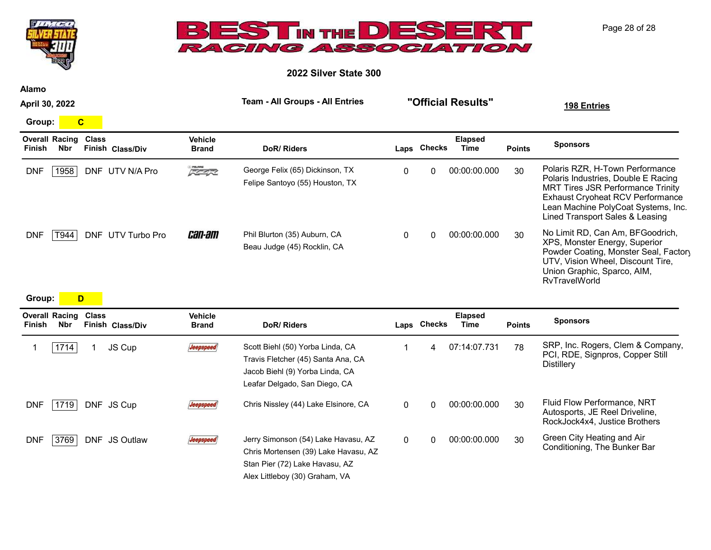| $\sqrt{5}$                                                                               | ESTIN THE DESER<br>RACING ASSOCIATION        | Page 28 of 28                  |                                  |
|------------------------------------------------------------------------------------------|----------------------------------------------|--------------------------------|----------------------------------|
|                                                                                          |                                              | 2022 Silver State 300          |                                  |
| <b>Alamo</b>                                                                             | <b>Team - All Groups - All Entries</b>       |                                |                                  |
| April 30, 2022                                                                           |                                              | "Official Results"             | 198 Entries                      |
| $\mathbf{C}$<br>Group:                                                                   |                                              |                                |                                  |
| <b>Overall Racing</b><br><b>Class</b><br>Finish Class/Div<br><b>Nbr</b><br><b>Finish</b> | <b>Vehicle</b><br>DoR/Riders<br><b>Brand</b> | Elapsed<br>Laps Checks<br>Time | <b>Sponsors</b><br><b>Points</b> |

| 1958<br><b>DNF</b> | DNF UTV N/A Pro   | POLARIS<br><b>スクイズ</b> | George Felix (65) Dickinson, TX<br>Felipe Santoyo (55) Houston, TX | 0 | 00:00:00.000 | 30 | Polaris RZR, H-Town Performance<br>Polaris Industries, Double E Racing<br><b>MRT Tires JSR Performance Trinity</b><br><b>Exhaust Cryoheat RCV Performance</b><br>Lean Machine PolyCoat Systems, Inc.<br>Lined Transport Sales & Leasing |
|--------------------|-------------------|------------------------|--------------------------------------------------------------------|---|--------------|----|-----------------------------------------------------------------------------------------------------------------------------------------------------------------------------------------------------------------------------------------|
| DNF<br>T944        | DNF UTV Turbo Pro | <i>can-am</i>          | Phil Blurton (35) Auburn, CA<br>Beau Judge (45) Rocklin, CA        | 0 | 00:00:00.000 | 30 | No Limit RD, Can Am, BFGoodrich,<br>XPS, Monster Energy, Superior<br>Powder Coating, Monster Seal, Factory<br>UTV, Vision Wheel, Discount Tire,<br>Union Graphic, Sparco, AIM,<br><b>RvTravelWorld</b>                                  |

## Group: <mark>D</mark>

| <b>Overall Racing</b><br><b>Nbr</b><br>Finish | Class      | Finish Class/Div | <b>Vehicle</b><br><b>Brand</b> | DoR/Riders                                                                                                                                      |              | Laps Checks | <b>Elapsed</b><br>Time | <b>Points</b> | <b>Sponsors</b>                                                                                |
|-----------------------------------------------|------------|------------------|--------------------------------|-------------------------------------------------------------------------------------------------------------------------------------------------|--------------|-------------|------------------------|---------------|------------------------------------------------------------------------------------------------|
| 1714                                          |            | JS Cup           | Jeepspeed                      | Scott Biehl (50) Yorba Linda, CA<br>Travis Fletcher (45) Santa Ana, CA<br>Jacob Biehl (9) Yorba Linda, CA<br>Leafar Delgado, San Diego, CA      |              | 4           | 07:14:07.731           | 78            | SRP, Inc. Rogers, Clem & Company,<br>PCI, RDE, Signpros, Copper Still<br><b>Distillery</b>     |
| 1719<br><b>DNF</b>                            |            | DNF JS Cup       | Jeepspeed                      | Chris Nissley (44) Lake Elsinore, CA                                                                                                            | $\mathbf{0}$ | $\Omega$    | 00:00:00.000           | 30            | Fluid Flow Performance, NRT<br>Autosports, JE Reel Driveline,<br>RockJock4x4, Justice Brothers |
| 3769<br>DNF                                   | <b>DNF</b> | <b>JS Outlaw</b> | <i><b>Jeepspeed</b></i>        | Jerry Simonson (54) Lake Havasu, AZ<br>Chris Mortensen (39) Lake Havasu, AZ<br>Stan Pier (72) Lake Havasu, AZ<br>Alex Littleboy (30) Graham, VA | $\Omega$     | 0           | 00:00:00.000           | 30            | Green City Heating and Air<br>Conditioning, The Bunker Bar                                     |